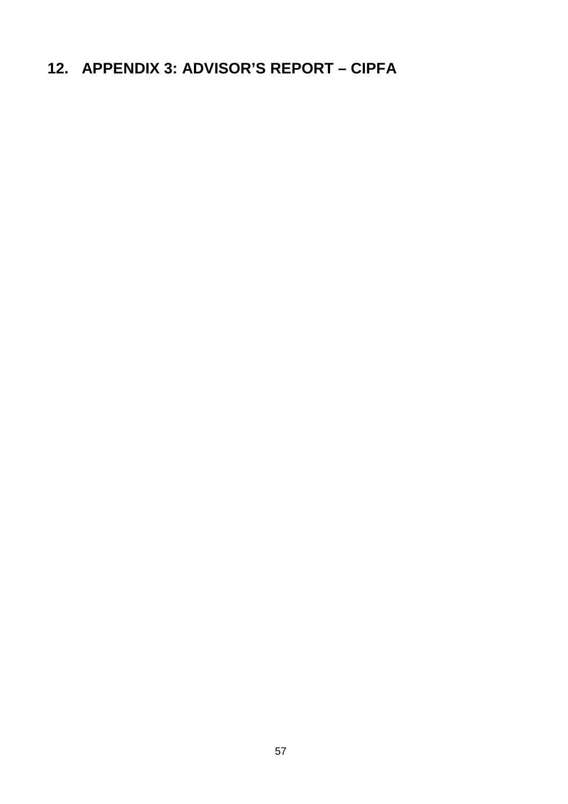# **12. APPENDIX 3: ADVISOR'S REPORT – CIPFA**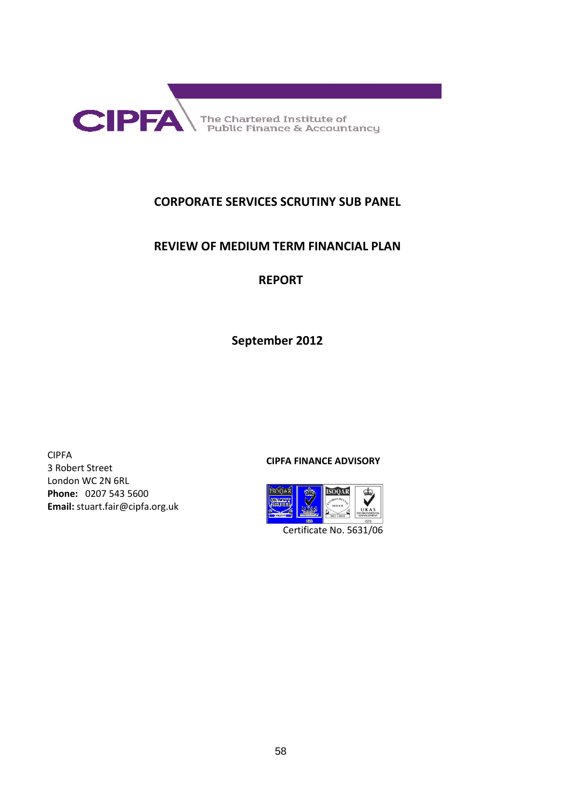

The Chartered Institute of<br>Public Finance & Accountancy

## **CORPORATE SERVICES SCRUTINY SUB PANEL**

### **REVIEW OF MEDIUM TERM FINANCIAL PLAN**

# **REPORT**

**September 2012** 

CIPFA 3 Robert Street London WC 2N 6RL **Phone:** 0207 543 5600 **Email:** stuart.fair@cipfa.org.uk

#### **CIPFA FINANCE ADVISORY**



Certificate No. 5631/06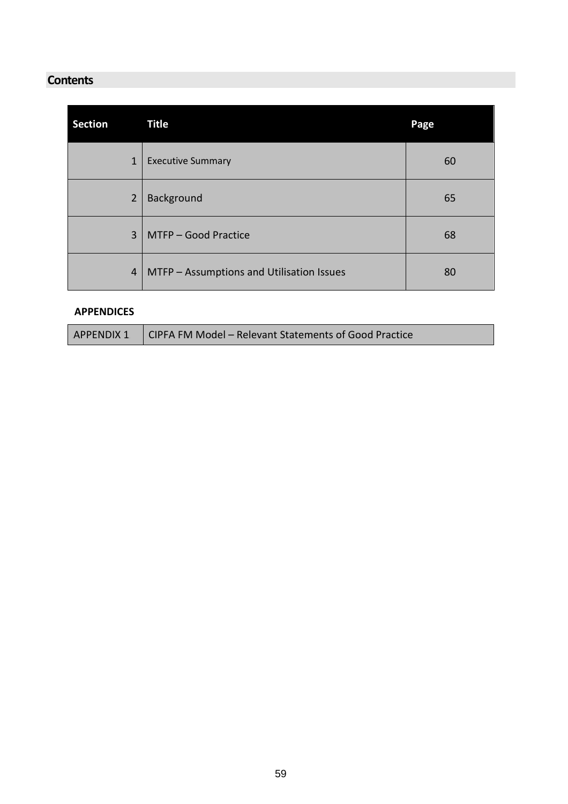# **Contents**

| <b>Section</b> |                | <b>Title</b>                              | Page |
|----------------|----------------|-------------------------------------------|------|
|                | $\mathbf{1}$   | <b>Executive Summary</b>                  | 60   |
|                | $\overline{2}$ | Background                                | 65   |
|                | $\overline{3}$ | MTFP - Good Practice                      | 68   |
|                | 4              | MTFP - Assumptions and Utilisation Issues | 80   |

#### **APPENDICES**

| APPENDIX 1   CIPFA FM Model – Relevant Statements of Good Practice |
|--------------------------------------------------------------------|
|                                                                    |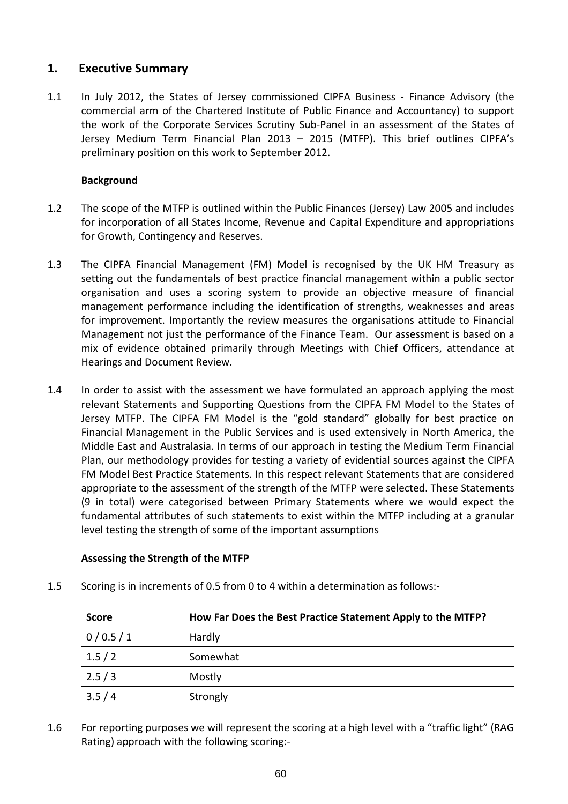### **1. Executive Summary**

1.1 In July 2012, the States of Jersey commissioned CIPFA Business - Finance Advisory (the commercial arm of the Chartered Institute of Public Finance and Accountancy) to support the work of the Corporate Services Scrutiny Sub-Panel in an assessment of the States of Jersey Medium Term Financial Plan 2013 – 2015 (MTFP). This brief outlines CIPFA's preliminary position on this work to September 2012.

#### **Background**

- 1.2 The scope of the MTFP is outlined within the Public Finances (Jersey) Law 2005 and includes for incorporation of all States Income, Revenue and Capital Expenditure and appropriations for Growth, Contingency and Reserves.
- 1.3 The CIPFA Financial Management (FM) Model is recognised by the UK HM Treasury as setting out the fundamentals of best practice financial management within a public sector organisation and uses a scoring system to provide an objective measure of financial management performance including the identification of strengths, weaknesses and areas for improvement. Importantly the review measures the organisations attitude to Financial Management not just the performance of the Finance Team. Our assessment is based on a mix of evidence obtained primarily through Meetings with Chief Officers, attendance at Hearings and Document Review.
- 1.4 In order to assist with the assessment we have formulated an approach applying the most relevant Statements and Supporting Questions from the CIPFA FM Model to the States of Jersey MTFP. The CIPFA FM Model is the "gold standard" globally for best practice on Financial Management in the Public Services and is used extensively in North America, the Middle East and Australasia. In terms of our approach in testing the Medium Term Financial Plan, our methodology provides for testing a variety of evidential sources against the CIPFA FM Model Best Practice Statements. In this respect relevant Statements that are considered appropriate to the assessment of the strength of the MTFP were selected. These Statements (9 in total) were categorised between Primary Statements where we would expect the fundamental attributes of such statements to exist within the MTFP including at a granular level testing the strength of some of the important assumptions

#### **Assessing the Strength of the MTFP**

| <b>Score</b> | How Far Does the Best Practice Statement Apply to the MTFP? |
|--------------|-------------------------------------------------------------|
| 0/0.5/1      | Hardly                                                      |
| 1.5/2        | Somewhat                                                    |
| 2.5/3        | Mostly                                                      |
| 3.5/4        | Strongly                                                    |

1.5 Scoring is in increments of 0.5 from 0 to 4 within a determination as follows:-

1.6 For reporting purposes we will represent the scoring at a high level with a "traffic light" (RAG Rating) approach with the following scoring:-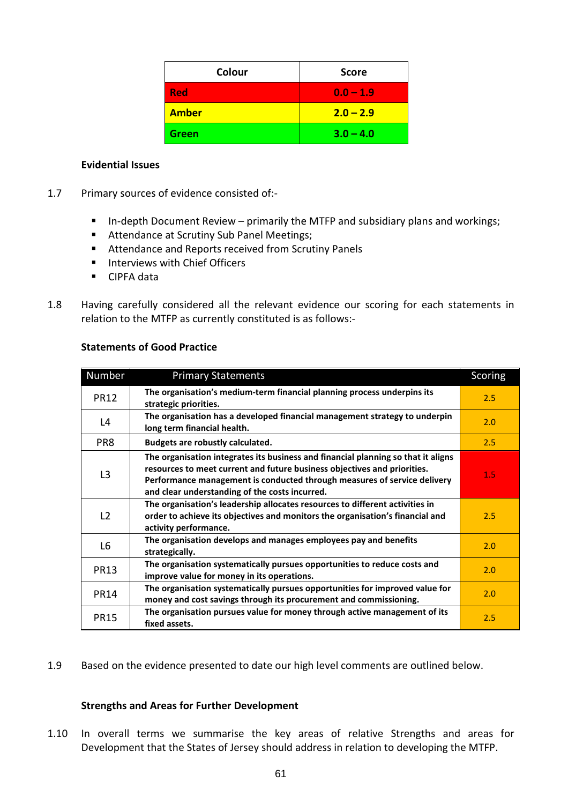| Colour       | <b>Score</b> |
|--------------|--------------|
| <b>Red</b>   | $0.0 - 1.9$  |
| <b>Amber</b> | $2.0 - 2.9$  |
| <b>Green</b> | $3.0 - 4.0$  |

#### **Evidential Issues**

- 1.7 Primary sources of evidence consisted of:-
	- In-depth Document Review primarily the MTFP and subsidiary plans and workings;
	- **Attendance at Scrutiny Sub Panel Meetings;**
	- Attendance and Reports received from Scrutiny Panels
	- **Interviews with Chief Officers**
	- **CIPFA data**
- 1.8 Having carefully considered all the relevant evidence our scoring for each statements in relation to the MTFP as currently constituted is as follows:-

| Number         | <b>Primary Statements</b>                                                                                                                                                                                                                                                                   | Scoring |
|----------------|---------------------------------------------------------------------------------------------------------------------------------------------------------------------------------------------------------------------------------------------------------------------------------------------|---------|
| <b>PR12</b>    | The organisation's medium-term financial planning process underpins its<br>strategic priorities.                                                                                                                                                                                            | 2.5     |
| L4             | The organisation has a developed financial management strategy to underpin<br>long term financial health.                                                                                                                                                                                   | 2.0     |
| PR8            | <b>Budgets are robustly calculated.</b>                                                                                                                                                                                                                                                     | 2.5     |
| L <sub>3</sub> | The organisation integrates its business and financial planning so that it aligns<br>resources to meet current and future business objectives and priorities.<br>Performance management is conducted through measures of service delivery<br>and clear understanding of the costs incurred. | 1.5     |
| L <sub>2</sub> | The organisation's leadership allocates resources to different activities in<br>order to achieve its objectives and monitors the organisation's financial and<br>activity performance.                                                                                                      | 2.5     |
| L6             | The organisation develops and manages employees pay and benefits<br>strategically.                                                                                                                                                                                                          | 2.0     |
| <b>PR13</b>    | The organisation systematically pursues opportunities to reduce costs and<br>improve value for money in its operations.                                                                                                                                                                     | 2.0     |
| <b>PR14</b>    | The organisation systematically pursues opportunities for improved value for<br>money and cost savings through its procurement and commissioning.                                                                                                                                           | 2.0     |
| <b>PR15</b>    | The organisation pursues value for money through active management of its<br>fixed assets.                                                                                                                                                                                                  | 2.5     |

#### **Statements of Good Practice**

1.9 Based on the evidence presented to date our high level comments are outlined below.

#### **Strengths and Areas for Further Development**

1.10 In overall terms we summarise the key areas of relative Strengths and areas for Development that the States of Jersey should address in relation to developing the MTFP.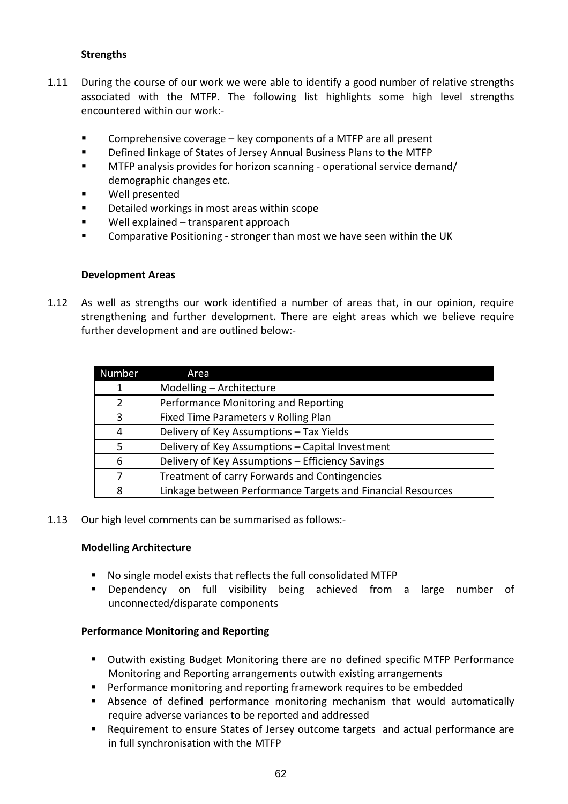#### **Strengths**

- 1.11 During the course of our work we were able to identify a good number of relative strengths associated with the MTFP. The following list highlights some high level strengths encountered within our work:-
	- Comprehensive coverage key components of a MTFP are all present
	- Defined linkage of States of Jersey Annual Business Plans to the MTFP
	- MTFP analysis provides for horizon scanning operational service demand/ demographic changes etc.
	- Well presented
	- **Detailed workings in most areas within scope**
	- Well explained transparent approach
	- Comparative Positioning stronger than most we have seen within the UK

#### **Development Areas**

1.12 As well as strengths our work identified a number of areas that, in our opinion, require strengthening and further development. There are eight areas which we believe require further development and are outlined below:-

| Number         | Area                                                        |
|----------------|-------------------------------------------------------------|
| 1              | Modelling - Architecture                                    |
| $\overline{2}$ | Performance Monitoring and Reporting                        |
| 3              | Fixed Time Parameters v Rolling Plan                        |
| 4              | Delivery of Key Assumptions - Tax Yields                    |
| 5              | Delivery of Key Assumptions - Capital Investment            |
| 6              | Delivery of Key Assumptions - Efficiency Savings            |
| 7              | Treatment of carry Forwards and Contingencies               |
| 8              | Linkage between Performance Targets and Financial Resources |

#### 1.13 Our high level comments can be summarised as follows:-

#### **Modelling Architecture**

- No single model exists that reflects the full consolidated MTFP
- **Dependency on full visibility being achieved from a large number of** unconnected/disparate components

#### **Performance Monitoring and Reporting**

- Outwith existing Budget Monitoring there are no defined specific MTFP Performance Monitoring and Reporting arrangements outwith existing arrangements
- **Performance monitoring and reporting framework requires to be embedded**
- Absence of defined performance monitoring mechanism that would automatically require adverse variances to be reported and addressed
- Requirement to ensure States of Jersey outcome targets and actual performance are in full synchronisation with the MTFP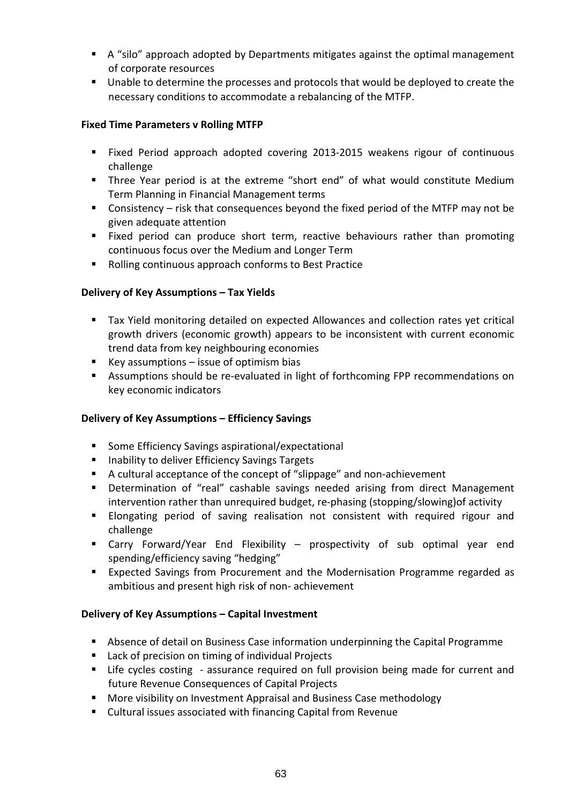- A "silo" approach adopted by Departments mitigates against the optimal management of corporate resources
- Unable to determine the processes and protocols that would be deployed to create the necessary conditions to accommodate a rebalancing of the MTFP.

#### **Fixed Time Parameters v Rolling MTFP**

- Fixed Period approach adopted covering 2013-2015 weakens rigour of continuous challenge
- Three Year period is at the extreme "short end" of what would constitute Medium Term Planning in Financial Management terms
- Consistency risk that consequences beyond the fixed period of the MTFP may not be given adequate attention
- Fixed period can produce short term, reactive behaviours rather than promoting continuous focus over the Medium and Longer Term
- Rolling continuous approach conforms to Best Practice

#### **Delivery of Key Assumptions – Tax Yields**

- Tax Yield monitoring detailed on expected Allowances and collection rates yet critical growth drivers (economic growth) appears to be inconsistent with current economic trend data from key neighbouring economies
- Key assumptions  $-$  issue of optimism bias
- Assumptions should be re-evaluated in light of forthcoming FPP recommendations on key economic indicators

#### **Delivery of Key Assumptions – Efficiency Savings**

- Some Efficiency Savings aspirational/expectational
- **Inability to deliver Efficiency Savings Targets**
- A cultural acceptance of the concept of "slippage" and non-achievement
- Determination of "real" cashable savings needed arising from direct Management intervention rather than unrequired budget, re-phasing (stopping/slowing)of activity
- **Elongating period of saving realisation not consistent with required rigour and** challenge
- Carry Forward/Year End Flexibility prospectivity of sub optimal year end spending/efficiency saving "hedging"
- Expected Savings from Procurement and the Modernisation Programme regarded as ambitious and present high risk of non- achievement

#### **Delivery of Key Assumptions – Capital Investment**

- Absence of detail on Business Case information underpinning the Capital Programme
- Lack of precision on timing of individual Projects
- Life cycles costing assurance required on full provision being made for current and future Revenue Consequences of Capital Projects
- More visibility on Investment Appraisal and Business Case methodology
- Cultural issues associated with financing Capital from Revenue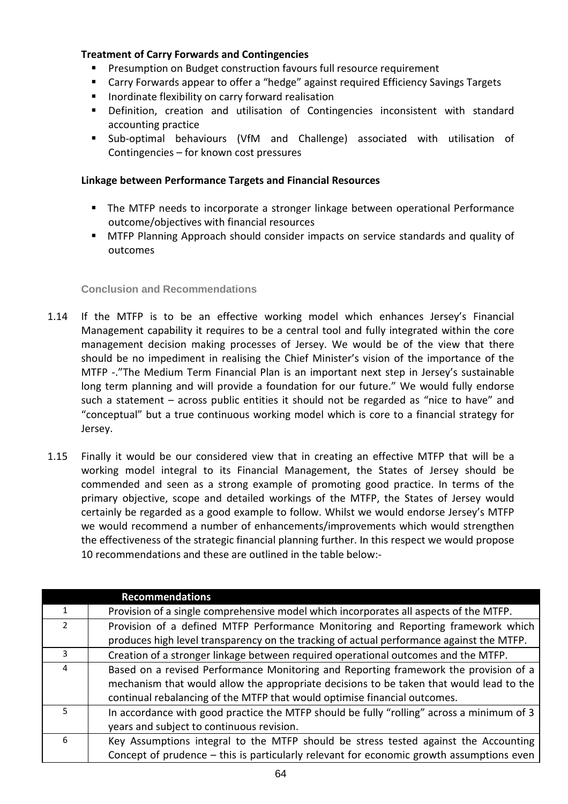#### **Treatment of Carry Forwards and Contingencies**

- Presumption on Budget construction favours full resource requirement
- Carry Forwards appear to offer a "hedge" against required Efficiency Savings Targets
- **IF** Inordinate flexibility on carry forward realisation
- **•** Definition, creation and utilisation of Contingencies inconsistent with standard accounting practice
- Sub-optimal behaviours (VfM and Challenge) associated with utilisation of Contingencies – for known cost pressures

#### **Linkage between Performance Targets and Financial Resources**

- The MTFP needs to incorporate a stronger linkage between operational Performance outcome/objectives with financial resources
- MTFP Planning Approach should consider impacts on service standards and quality of outcomes

#### **Conclusion and Recommendations**

- 1.14 If the MTFP is to be an effective working model which enhances Jersey's Financial Management capability it requires to be a central tool and fully integrated within the core management decision making processes of Jersey. We would be of the view that there should be no impediment in realising the Chief Minister's vision of the importance of the MTFP -."The Medium Term Financial Plan is an important next step in Jersey's sustainable long term planning and will provide a foundation for our future." We would fully endorse such a statement – across public entities it should not be regarded as "nice to have" and "conceptual" but a true continuous working model which is core to a financial strategy for Jersey.
- 1.15 Finally it would be our considered view that in creating an effective MTFP that will be a working model integral to its Financial Management, the States of Jersey should be commended and seen as a strong example of promoting good practice. In terms of the primary objective, scope and detailed workings of the MTFP, the States of Jersey would certainly be regarded as a good example to follow. Whilst we would endorse Jersey's MTFP we would recommend a number of enhancements/improvements which would strengthen the effectiveness of the strategic financial planning further. In this respect we would propose 10 recommendations and these are outlined in the table below:-

|               | <b>Recommendations</b>                                                                    |
|---------------|-------------------------------------------------------------------------------------------|
| 1             | Provision of a single comprehensive model which incorporates all aspects of the MTFP.     |
| $\mathcal{L}$ | Provision of a defined MTFP Performance Monitoring and Reporting framework which          |
|               | produces high level transparency on the tracking of actual performance against the MTFP.  |
| 3             | Creation of a stronger linkage between required operational outcomes and the MTFP.        |
| 4             | Based on a revised Performance Monitoring and Reporting framework the provision of a      |
|               | mechanism that would allow the appropriate decisions to be taken that would lead to the   |
|               | continual rebalancing of the MTFP that would optimise financial outcomes.                 |
| 5             | In accordance with good practice the MTFP should be fully "rolling" across a minimum of 3 |
|               | years and subject to continuous revision.                                                 |
| 6             | Key Assumptions integral to the MTFP should be stress tested against the Accounting       |
|               | Concept of prudence - this is particularly relevant for economic growth assumptions even  |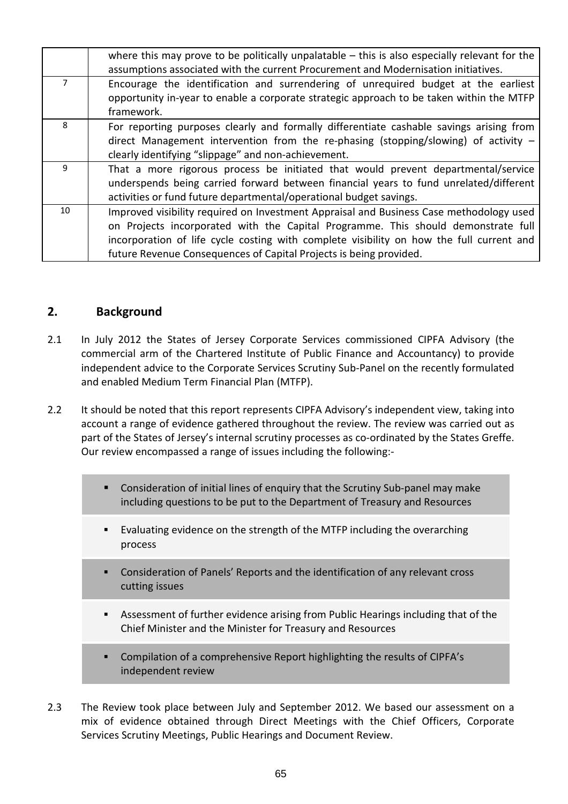|    | where this may prove to be politically unpalatable $-$ this is also especially relevant for the<br>assumptions associated with the current Procurement and Modernisation initiatives.                                                                                                                                                          |
|----|------------------------------------------------------------------------------------------------------------------------------------------------------------------------------------------------------------------------------------------------------------------------------------------------------------------------------------------------|
| 7  | Encourage the identification and surrendering of unrequired budget at the earliest<br>opportunity in-year to enable a corporate strategic approach to be taken within the MTFP<br>framework.                                                                                                                                                   |
| 8  | For reporting purposes clearly and formally differentiate cashable savings arising from<br>direct Management intervention from the re-phasing (stopping/slowing) of activity $-$<br>clearly identifying "slippage" and non-achievement.                                                                                                        |
| 9  | That a more rigorous process be initiated that would prevent departmental/service<br>underspends being carried forward between financial years to fund unrelated/different<br>activities or fund future departmental/operational budget savings.                                                                                               |
| 10 | Improved visibility required on Investment Appraisal and Business Case methodology used<br>on Projects incorporated with the Capital Programme. This should demonstrate full<br>incorporation of life cycle costing with complete visibility on how the full current and<br>future Revenue Consequences of Capital Projects is being provided. |

### **2. Background**

- 2.1 In July 2012 the States of Jersey Corporate Services commissioned CIPFA Advisory (the commercial arm of the Chartered Institute of Public Finance and Accountancy) to provide independent advice to the Corporate Services Scrutiny Sub-Panel on the recently formulated and enabled Medium Term Financial Plan (MTFP).
- 2.2 It should be noted that this report represents CIPFA Advisory's independent view, taking into account a range of evidence gathered throughout the review. The review was carried out as part of the States of Jersey's internal scrutiny processes as co-ordinated by the States Greffe. Our review encompassed a range of issues including the following:-
	- Consideration of initial lines of enquiry that the Scrutiny Sub-panel may make including questions to be put to the Department of Treasury and Resources
	- Evaluating evidence on the strength of the MTFP including the overarching process
	- Consideration of Panels' Reports and the identification of any relevant cross cutting issues
	- Assessment of further evidence arising from Public Hearings including that of the Chief Minister and the Minister for Treasury and Resources
	- Compilation of a comprehensive Report highlighting the results of CIPFA's independent review
- 2.3 The Review took place between July and September 2012. We based our assessment on a mix of evidence obtained through Direct Meetings with the Chief Officers, Corporate Services Scrutiny Meetings, Public Hearings and Document Review.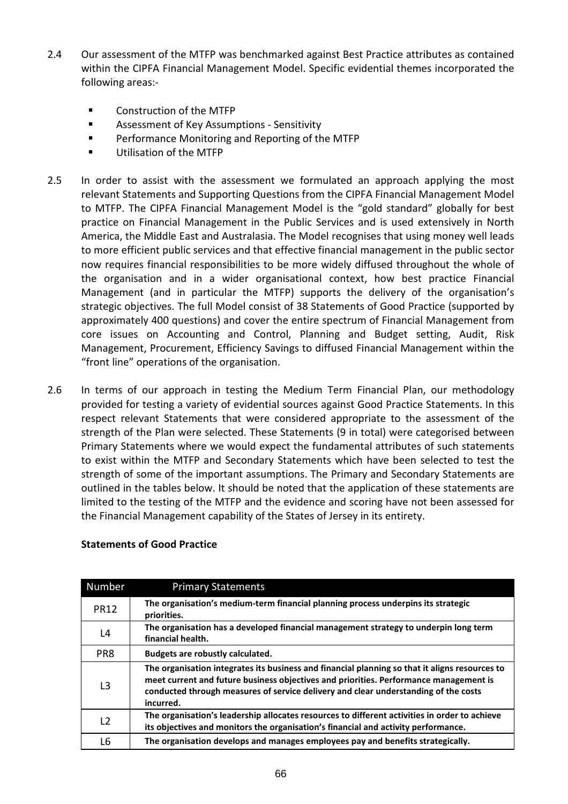- 2.4 Our assessment of the MTFP was benchmarked against Best Practice attributes as contained within the CIPFA Financial Management Model. Specific evidential themes incorporated the following areas:-
	- Construction of the MTFP
	- Assessment of Key Assumptions Sensitivity
	- **Performance Monitoring and Reporting of the MTFP**
	- **Utilisation of the MTFP**
- 2.5 In order to assist with the assessment we formulated an approach applying the most relevant Statements and Supporting Questions from the CIPFA Financial Management Model to MTFP. The CIPFA Financial Management Model is the "gold standard" globally for best practice on Financial Management in the Public Services and is used extensively in North America, the Middle East and Australasia. The Model recognises that using money well leads to more efficient public services and that effective financial management in the public sector now requires financial responsibilities to be more widely diffused throughout the whole of the organisation and in a wider organisational context, how best practice Financial Management (and in particular the MTFP) supports the delivery of the organisation's strategic objectives. The full Model consist of 38 Statements of Good Practice (supported by approximately 400 questions) and cover the entire spectrum of Financial Management from core issues on Accounting and Control, Planning and Budget setting, Audit, Risk Management, Procurement, Efficiency Savings to diffused Financial Management within the "front line" operations of the organisation.
- 2.6 In terms of our approach in testing the Medium Term Financial Plan, our methodology provided for testing a variety of evidential sources against Good Practice Statements. In this respect relevant Statements that were considered appropriate to the assessment of the strength of the Plan were selected. These Statements (9 in total) were categorised between Primary Statements where we would expect the fundamental attributes of such statements to exist within the MTFP and Secondary Statements which have been selected to test the strength of some of the important assumptions. The Primary and Secondary Statements are outlined in the tables below. It should be noted that the application of these statements are limited to the testing of the MTFP and the evidence and scoring have not been assessed for the Financial Management capability of the States of Jersey in its entirety.

| <b>Number</b>  | <b>Primary Statements</b>                                                                                                                                                                                                                                                                   |
|----------------|---------------------------------------------------------------------------------------------------------------------------------------------------------------------------------------------------------------------------------------------------------------------------------------------|
| <b>PR12</b>    | The organisation's medium-term financial planning process underpins its strategic<br>priorities.                                                                                                                                                                                            |
| L4             | The organisation has a developed financial management strategy to underpin long term<br>financial health.                                                                                                                                                                                   |
| PR8            | Budgets are robustly calculated.                                                                                                                                                                                                                                                            |
| L <sub>3</sub> | The organisation integrates its business and financial planning so that it aligns resources to<br>meet current and future business objectives and priorities. Performance management is<br>conducted through measures of service delivery and clear understanding of the costs<br>incurred. |
| L <sub>2</sub> | The organisation's leadership allocates resources to different activities in order to achieve<br>its objectives and monitors the organisation's financial and activity performance.                                                                                                         |
| L6             | The organisation develops and manages employees pay and benefits strategically.                                                                                                                                                                                                             |

#### **Statements of Good Practice**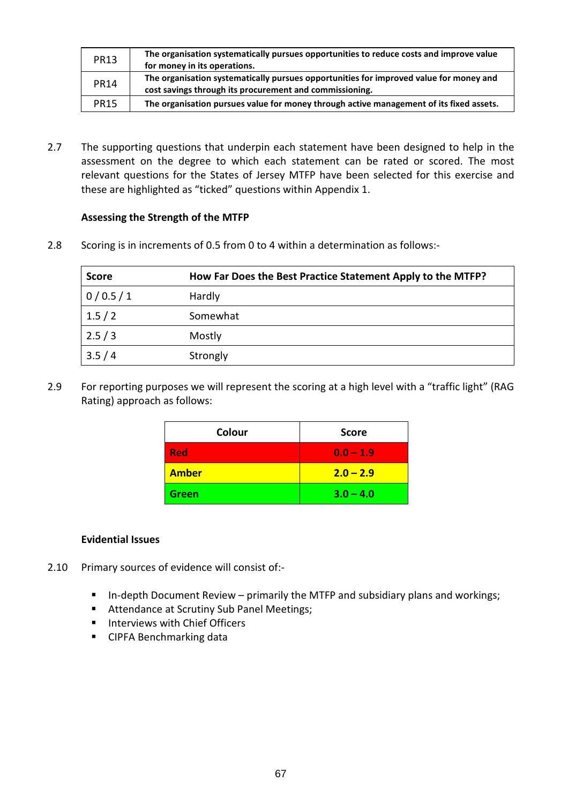| <b>PR13</b> | The organisation systematically pursues opportunities to reduce costs and improve value<br>for money in its operations.                           |
|-------------|---------------------------------------------------------------------------------------------------------------------------------------------------|
| <b>PR14</b> | The organisation systematically pursues opportunities for improved value for money and<br>cost savings through its procurement and commissioning. |
| <b>PR15</b> | The organisation pursues value for money through active management of its fixed assets.                                                           |

2.7 The supporting questions that underpin each statement have been designed to help in the assessment on the degree to which each statement can be rated or scored. The most relevant questions for the States of Jersey MTFP have been selected for this exercise and these are highlighted as "ticked" questions within Appendix 1.

#### **Assessing the Strength of the MTFP**

2.8 Scoring is in increments of 0.5 from 0 to 4 within a determination as follows:-

| <b>Score</b> | How Far Does the Best Practice Statement Apply to the MTFP? |
|--------------|-------------------------------------------------------------|
| 0/0.5/1      | Hardly                                                      |
| 1.5/2        | Somewhat                                                    |
| 2.5/3        | Mostly                                                      |
| 3.5/4        | Strongly                                                    |

2.9 For reporting purposes we will represent the scoring at a high level with a "traffic light" (RAG Rating) approach as follows:

| Colour       | <b>Score</b> |
|--------------|--------------|
| <b>Red</b>   | $0.0 - 1.9$  |
| <b>Amber</b> | $2.0 - 2.9$  |
| <b>Green</b> | $3.0 - 4.0$  |

#### **Evidential Issues**

- 2.10 Primary sources of evidence will consist of:-
	- In-depth Document Review primarily the MTFP and subsidiary plans and workings;
	- **Attendance at Scrutiny Sub Panel Meetings;**
	- **Interviews with Chief Officers**
	- **CIPFA Benchmarking data**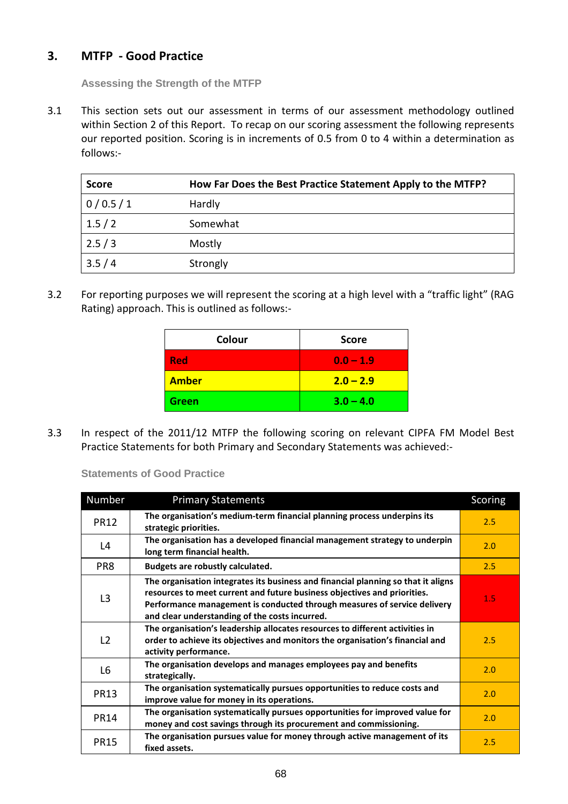## **3. MTFP - Good Practice**

**Assessing the Strength of the MTFP** 

3.1 This section sets out our assessment in terms of our assessment methodology outlined within Section 2 of this Report. To recap on our scoring assessment the following represents our reported position. Scoring is in increments of 0.5 from 0 to 4 within a determination as follows:-

| <b>Score</b> | How Far Does the Best Practice Statement Apply to the MTFP? |
|--------------|-------------------------------------------------------------|
| 0/0.5/1      | Hardly                                                      |
| 1.5/2        | Somewhat                                                    |
| 2.5/3        | Mostly                                                      |
| 3.5/4        | Strongly                                                    |

3.2 For reporting purposes we will represent the scoring at a high level with a "traffic light" (RAG Rating) approach. This is outlined as follows:-

| Colour       | <b>Score</b> |
|--------------|--------------|
| <b>Red</b>   | $0.0 - 1.9$  |
| <b>Amber</b> | $2.0 - 2.9$  |
| <b>Green</b> | $3.0 - 4.0$  |

3.3 In respect of the 2011/12 MTFP the following scoring on relevant CIPFA FM Model Best Practice Statements for both Primary and Secondary Statements was achieved:-

**Statements of Good Practice** 

| Number         | <b>Primary Statements</b>                                                                                                                                                                                                                                                                   | Scoring |
|----------------|---------------------------------------------------------------------------------------------------------------------------------------------------------------------------------------------------------------------------------------------------------------------------------------------|---------|
| <b>PR12</b>    | The organisation's medium-term financial planning process underpins its<br>strategic priorities.                                                                                                                                                                                            | 2.5     |
| L4             | The organisation has a developed financial management strategy to underpin<br>long term financial health.                                                                                                                                                                                   | 2.0     |
| PR8            | Budgets are robustly calculated.                                                                                                                                                                                                                                                            | 2.5     |
| L <sub>3</sub> | The organisation integrates its business and financial planning so that it aligns<br>resources to meet current and future business objectives and priorities.<br>Performance management is conducted through measures of service delivery<br>and clear understanding of the costs incurred. | 1.5     |
| L2             | The organisation's leadership allocates resources to different activities in<br>order to achieve its objectives and monitors the organisation's financial and<br>activity performance.                                                                                                      | 2.5     |
| L6             | The organisation develops and manages employees pay and benefits<br>strategically.                                                                                                                                                                                                          | 2.0     |
| <b>PR13</b>    | The organisation systematically pursues opportunities to reduce costs and<br>improve value for money in its operations.                                                                                                                                                                     | 2.0     |
| <b>PR14</b>    | The organisation systematically pursues opportunities for improved value for<br>money and cost savings through its procurement and commissioning.                                                                                                                                           | 2.0     |
| <b>PR15</b>    | The organisation pursues value for money through active management of its<br>fixed assets.                                                                                                                                                                                                  | 2.5     |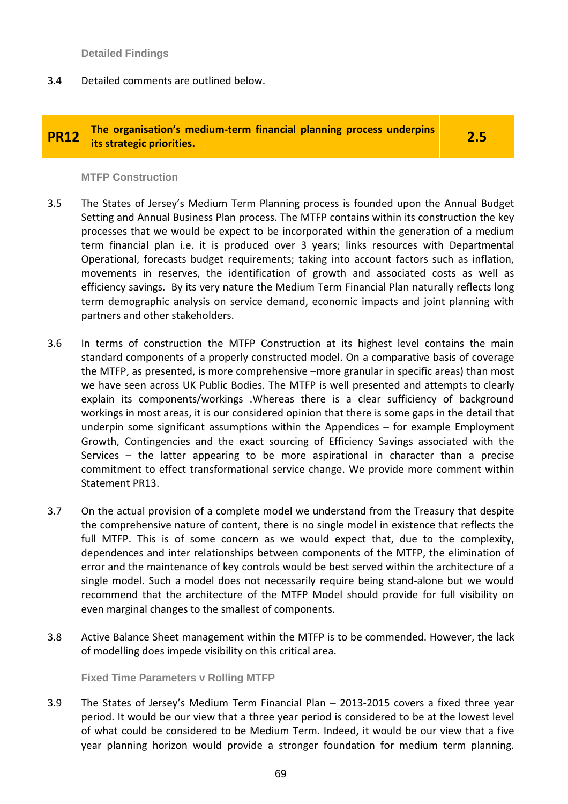**Detailed Findings**

3.4 Detailed comments are outlined below.

# **PR12** The organisation's medium-term financial planning process underpins is trategic priorities.

#### **MTFP Construction**

- 3.5 The States of Jersey's Medium Term Planning process is founded upon the Annual Budget Setting and Annual Business Plan process. The MTFP contains within its construction the key processes that we would be expect to be incorporated within the generation of a medium term financial plan i.e. it is produced over 3 years; links resources with Departmental Operational, forecasts budget requirements; taking into account factors such as inflation, movements in reserves, the identification of growth and associated costs as well as efficiency savings. By its very nature the Medium Term Financial Plan naturally reflects long term demographic analysis on service demand, economic impacts and joint planning with partners and other stakeholders.
- 3.6 In terms of construction the MTFP Construction at its highest level contains the main standard components of a properly constructed model. On a comparative basis of coverage the MTFP, as presented, is more comprehensive –more granular in specific areas) than most we have seen across UK Public Bodies. The MTFP is well presented and attempts to clearly explain its components/workings .Whereas there is a clear sufficiency of background workings in most areas, it is our considered opinion that there is some gaps in the detail that underpin some significant assumptions within the Appendices – for example Employment Growth, Contingencies and the exact sourcing of Efficiency Savings associated with the Services – the latter appearing to be more aspirational in character than a precise commitment to effect transformational service change. We provide more comment within Statement PR13.
- 3.7 On the actual provision of a complete model we understand from the Treasury that despite the comprehensive nature of content, there is no single model in existence that reflects the full MTFP. This is of some concern as we would expect that, due to the complexity, dependences and inter relationships between components of the MTFP, the elimination of error and the maintenance of key controls would be best served within the architecture of a single model. Such a model does not necessarily require being stand-alone but we would recommend that the architecture of the MTFP Model should provide for full visibility on even marginal changes to the smallest of components.
- 3.8 Active Balance Sheet management within the MTFP is to be commended. However, the lack of modelling does impede visibility on this critical area.

**Fixed Time Parameters v Rolling MTFP** 

3.9 The States of Jersey's Medium Term Financial Plan – 2013-2015 covers a fixed three year period. It would be our view that a three year period is considered to be at the lowest level of what could be considered to be Medium Term. Indeed, it would be our view that a five year planning horizon would provide a stronger foundation for medium term planning.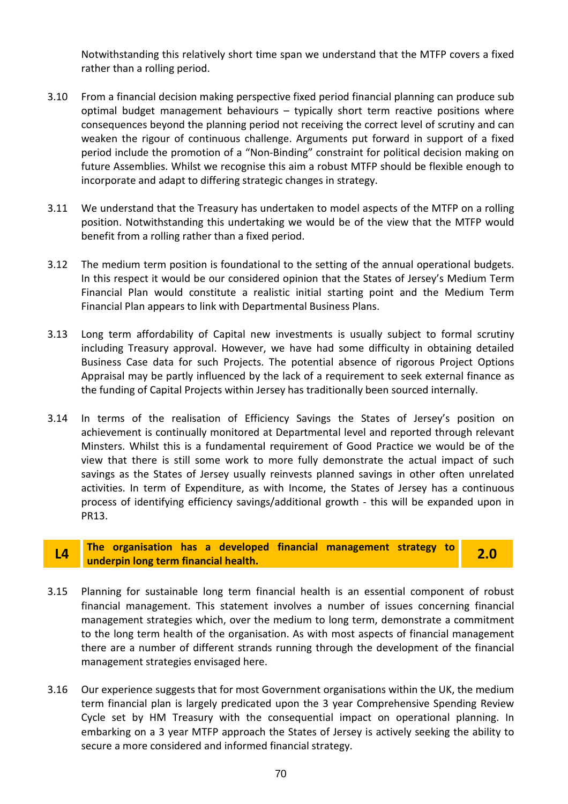Notwithstanding this relatively short time span we understand that the MTFP covers a fixed rather than a rolling period.

- 3.10 From a financial decision making perspective fixed period financial planning can produce sub optimal budget management behaviours – typically short term reactive positions where consequences beyond the planning period not receiving the correct level of scrutiny and can weaken the rigour of continuous challenge. Arguments put forward in support of a fixed period include the promotion of a "Non-Binding" constraint for political decision making on future Assemblies. Whilst we recognise this aim a robust MTFP should be flexible enough to incorporate and adapt to differing strategic changes in strategy.
- 3.11 We understand that the Treasury has undertaken to model aspects of the MTFP on a rolling position. Notwithstanding this undertaking we would be of the view that the MTFP would benefit from a rolling rather than a fixed period.
- 3.12 The medium term position is foundational to the setting of the annual operational budgets. In this respect it would be our considered opinion that the States of Jersey's Medium Term Financial Plan would constitute a realistic initial starting point and the Medium Term Financial Plan appears to link with Departmental Business Plans.
- 3.13 Long term affordability of Capital new investments is usually subject to formal scrutiny including Treasury approval. However, we have had some difficulty in obtaining detailed Business Case data for such Projects. The potential absence of rigorous Project Options Appraisal may be partly influenced by the lack of a requirement to seek external finance as the funding of Capital Projects within Jersey has traditionally been sourced internally.
- 3.14 In terms of the realisation of Efficiency Savings the States of Jersey's position on achievement is continually monitored at Departmental level and reported through relevant Minsters. Whilst this is a fundamental requirement of Good Practice we would be of the view that there is still some work to more fully demonstrate the actual impact of such savings as the States of Jersey usually reinvests planned savings in other often unrelated activities. In term of Expenditure, as with Income, the States of Jersey has a continuous process of identifying efficiency savings/additional growth - this will be expanded upon in PR13.

# **L4 The organisation has a developed financial management strategy to underpin long term financial health. 2.0**

- 3.15 Planning for sustainable long term financial health is an essential component of robust financial management. This statement involves a number of issues concerning financial management strategies which, over the medium to long term, demonstrate a commitment to the long term health of the organisation. As with most aspects of financial management there are a number of different strands running through the development of the financial management strategies envisaged here.
- 3.16 Our experience suggests that for most Government organisations within the UK, the medium term financial plan is largely predicated upon the 3 year Comprehensive Spending Review Cycle set by HM Treasury with the consequential impact on operational planning. In embarking on a 3 year MTFP approach the States of Jersey is actively seeking the ability to secure a more considered and informed financial strategy.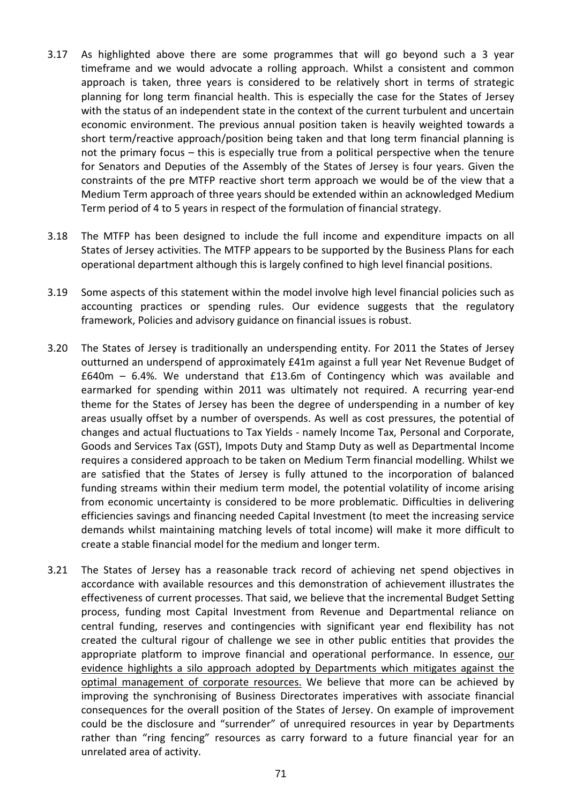- 3.17 As highlighted above there are some programmes that will go beyond such a 3 year timeframe and we would advocate a rolling approach. Whilst a consistent and common approach is taken, three years is considered to be relatively short in terms of strategic planning for long term financial health. This is especially the case for the States of Jersey with the status of an independent state in the context of the current turbulent and uncertain economic environment. The previous annual position taken is heavily weighted towards a short term/reactive approach/position being taken and that long term financial planning is not the primary focus – this is especially true from a political perspective when the tenure for Senators and Deputies of the Assembly of the States of Jersey is four years. Given the constraints of the pre MTFP reactive short term approach we would be of the view that a Medium Term approach of three years should be extended within an acknowledged Medium Term period of 4 to 5 years in respect of the formulation of financial strategy.
- 3.18 The MTFP has been designed to include the full income and expenditure impacts on all States of Jersey activities. The MTFP appears to be supported by the Business Plans for each operational department although this is largely confined to high level financial positions.
- 3.19 Some aspects of this statement within the model involve high level financial policies such as accounting practices or spending rules. Our evidence suggests that the regulatory framework, Policies and advisory guidance on financial issues is robust.
- 3.20 The States of Jersey is traditionally an underspending entity. For 2011 the States of Jersey outturned an underspend of approximately £41m against a full year Net Revenue Budget of £640m – 6.4%. We understand that £13.6m of Contingency which was available and earmarked for spending within 2011 was ultimately not required. A recurring year-end theme for the States of Jersey has been the degree of underspending in a number of key areas usually offset by a number of overspends. As well as cost pressures, the potential of changes and actual fluctuations to Tax Yields - namely Income Tax, Personal and Corporate, Goods and Services Tax (GST), Impots Duty and Stamp Duty as well as Departmental Income requires a considered approach to be taken on Medium Term financial modelling. Whilst we are satisfied that the States of Jersey is fully attuned to the incorporation of balanced funding streams within their medium term model, the potential volatility of income arising from economic uncertainty is considered to be more problematic. Difficulties in delivering efficiencies savings and financing needed Capital Investment (to meet the increasing service demands whilst maintaining matching levels of total income) will make it more difficult to create a stable financial model for the medium and longer term.
- 3.21 The States of Jersey has a reasonable track record of achieving net spend objectives in accordance with available resources and this demonstration of achievement illustrates the effectiveness of current processes. That said, we believe that the incremental Budget Setting process, funding most Capital Investment from Revenue and Departmental reliance on central funding, reserves and contingencies with significant year end flexibility has not created the cultural rigour of challenge we see in other public entities that provides the appropriate platform to improve financial and operational performance. In essence, our evidence highlights a silo approach adopted by Departments which mitigates against the optimal management of corporate resources. We believe that more can be achieved by improving the synchronising of Business Directorates imperatives with associate financial consequences for the overall position of the States of Jersey. On example of improvement could be the disclosure and "surrender" of unrequired resources in year by Departments rather than "ring fencing" resources as carry forward to a future financial year for an unrelated area of activity.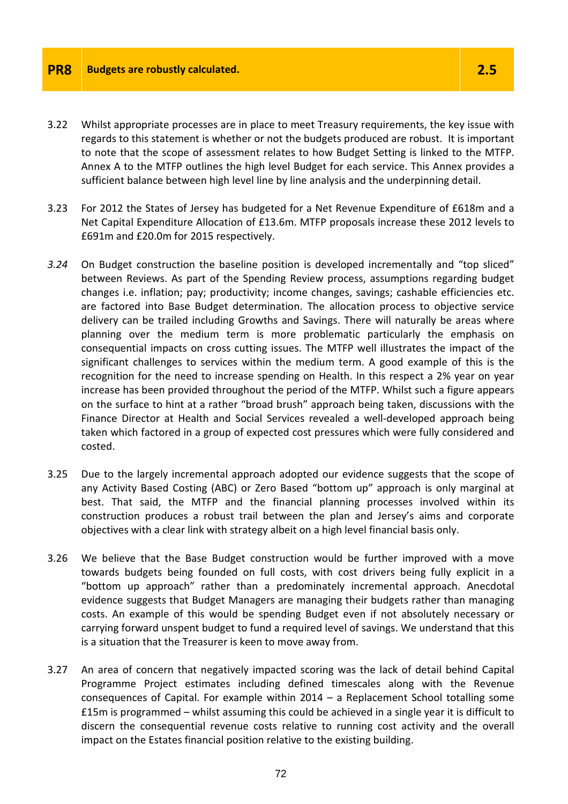- 3.22 Whilst appropriate processes are in place to meet Treasury requirements, the key issue with regards to this statement is whether or not the budgets produced are robust. It is important to note that the scope of assessment relates to how Budget Setting is linked to the MTFP. Annex A to the MTFP outlines the high level Budget for each service. This Annex provides a sufficient balance between high level line by line analysis and the underpinning detail.
- 3.23 For 2012 the States of Jersey has budgeted for a Net Revenue Expenditure of £618m and a Net Capital Expenditure Allocation of £13.6m. MTFP proposals increase these 2012 levels to £691m and £20.0m for 2015 respectively.
- *3.24* On Budget construction the baseline position is developed incrementally and "top sliced" between Reviews. As part of the Spending Review process, assumptions regarding budget changes i.e. inflation; pay; productivity; income changes, savings; cashable efficiencies etc. are factored into Base Budget determination. The allocation process to objective service delivery can be trailed including Growths and Savings. There will naturally be areas where planning over the medium term is more problematic particularly the emphasis on consequential impacts on cross cutting issues. The MTFP well illustrates the impact of the significant challenges to services within the medium term. A good example of this is the recognition for the need to increase spending on Health. In this respect a 2% year on year increase has been provided throughout the period of the MTFP. Whilst such a figure appears on the surface to hint at a rather "broad brush" approach being taken, discussions with the Finance Director at Health and Social Services revealed a well-developed approach being taken which factored in a group of expected cost pressures which were fully considered and costed.
- 3.25 Due to the largely incremental approach adopted our evidence suggests that the scope of any Activity Based Costing (ABC) or Zero Based "bottom up" approach is only marginal at best. That said, the MTFP and the financial planning processes involved within its construction produces a robust trail between the plan and Jersey's aims and corporate objectives with a clear link with strategy albeit on a high level financial basis only.
- 3.26 We believe that the Base Budget construction would be further improved with a move towards budgets being founded on full costs, with cost drivers being fully explicit in a "bottom up approach" rather than a predominately incremental approach. Anecdotal evidence suggests that Budget Managers are managing their budgets rather than managing costs. An example of this would be spending Budget even if not absolutely necessary or carrying forward unspent budget to fund a required level of savings. We understand that this is a situation that the Treasurer is keen to move away from.
- 3.27 An area of concern that negatively impacted scoring was the lack of detail behind Capital Programme Project estimates including defined timescales along with the Revenue consequences of Capital. For example within 2014 – a Replacement School totalling some £15m is programmed – whilst assuming this could be achieved in a single year it is difficult to discern the consequential revenue costs relative to running cost activity and the overall impact on the Estates financial position relative to the existing building.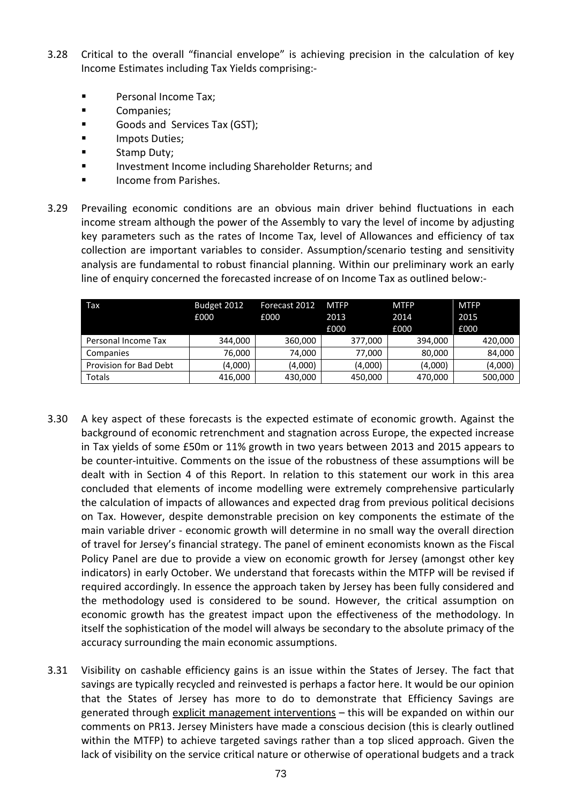- 3.28 Critical to the overall "financial envelope" is achieving precision in the calculation of key Income Estimates including Tax Yields comprising:-
	- **Personal Income Tax;**
	- **Companies**;
	- Goods and Services Tax (GST);
	- **IMPOTE DUTIES;**
	- **Stamp Duty;**
	- Investment Income including Shareholder Returns; and
	- Income from Parishes.
- 3.29 Prevailing economic conditions are an obvious main driver behind fluctuations in each income stream although the power of the Assembly to vary the level of income by adjusting key parameters such as the rates of Income Tax, level of Allowances and efficiency of tax collection are important variables to consider. Assumption/scenario testing and sensitivity analysis are fundamental to robust financial planning. Within our preliminary work an early line of enquiry concerned the forecasted increase of on Income Tax as outlined below:-

| Tax                    | Budget 2012 | Forecast 2012 | <b>MTFP</b> | <b>MTFP</b> | <b>MTFP</b> |
|------------------------|-------------|---------------|-------------|-------------|-------------|
|                        | £000        | £000          | 2013        | 2014        | 2015        |
|                        |             |               | £000        | £000        | £000        |
| Personal Income Tax    | 344.000     | 360,000       | 377,000     | 394.000     | 420,000     |
| Companies              | 76,000      | 74,000        | 77,000      | 80,000      | 84,000      |
| Provision for Bad Debt | (4,000)     | (4,000)       | (4,000)     | (4,000)     | (4,000)     |
| Totals                 | 416,000     | 430,000       | 450,000     | 470,000     | 500,000     |

- 3.30 A key aspect of these forecasts is the expected estimate of economic growth. Against the background of economic retrenchment and stagnation across Europe, the expected increase in Tax yields of some £50m or 11% growth in two years between 2013 and 2015 appears to be counter-intuitive. Comments on the issue of the robustness of these assumptions will be dealt with in Section 4 of this Report. In relation to this statement our work in this area concluded that elements of income modelling were extremely comprehensive particularly the calculation of impacts of allowances and expected drag from previous political decisions on Tax. However, despite demonstrable precision on key components the estimate of the main variable driver - economic growth will determine in no small way the overall direction of travel for Jersey's financial strategy. The panel of eminent economists known as the Fiscal Policy Panel are due to provide a view on economic growth for Jersey (amongst other key indicators) in early October. We understand that forecasts within the MTFP will be revised if required accordingly. In essence the approach taken by Jersey has been fully considered and the methodology used is considered to be sound. However, the critical assumption on economic growth has the greatest impact upon the effectiveness of the methodology. In itself the sophistication of the model will always be secondary to the absolute primacy of the accuracy surrounding the main economic assumptions.
- 3.31 Visibility on cashable efficiency gains is an issue within the States of Jersey. The fact that savings are typically recycled and reinvested is perhaps a factor here. It would be our opinion that the States of Jersey has more to do to demonstrate that Efficiency Savings are generated through explicit management interventions - this will be expanded on within our comments on PR13. Jersey Ministers have made a conscious decision (this is clearly outlined within the MTFP) to achieve targeted savings rather than a top sliced approach. Given the lack of visibility on the service critical nature or otherwise of operational budgets and a track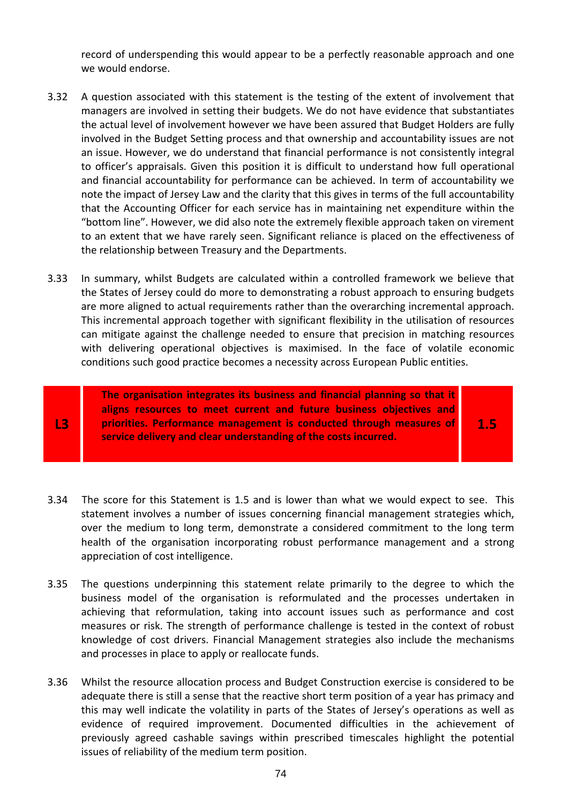record of underspending this would appear to be a perfectly reasonable approach and one we would endorse.

- 3.32 A question associated with this statement is the testing of the extent of involvement that managers are involved in setting their budgets. We do not have evidence that substantiates the actual level of involvement however we have been assured that Budget Holders are fully involved in the Budget Setting process and that ownership and accountability issues are not an issue. However, we do understand that financial performance is not consistently integral to officer's appraisals. Given this position it is difficult to understand how full operational and financial accountability for performance can be achieved. In term of accountability we note the impact of Jersey Law and the clarity that this gives in terms of the full accountability that the Accounting Officer for each service has in maintaining net expenditure within the "bottom line". However, we did also note the extremely flexible approach taken on virement to an extent that we have rarely seen. Significant reliance is placed on the effectiveness of the relationship between Treasury and the Departments.
- 3.33 In summary, whilst Budgets are calculated within a controlled framework we believe that the States of Jersey could do more to demonstrating a robust approach to ensuring budgets are more aligned to actual requirements rather than the overarching incremental approach. This incremental approach together with significant flexibility in the utilisation of resources can mitigate against the challenge needed to ensure that precision in matching resources with delivering operational objectives is maximised. In the face of volatile economic conditions such good practice becomes a necessity across European Public entities.

**The organisation integrates its business and financial planning so that it aligns resources to meet current and future business objectives and priorities. Performance management is conducted through measures of service delivery and clear understanding of the costs incurred.**

**L3** 

**1.5** 

- 3.34 The score for this Statement is 1.5 and is lower than what we would expect to see. This statement involves a number of issues concerning financial management strategies which, over the medium to long term, demonstrate a considered commitment to the long term health of the organisation incorporating robust performance management and a strong appreciation of cost intelligence.
- 3.35 The questions underpinning this statement relate primarily to the degree to which the business model of the organisation is reformulated and the processes undertaken in achieving that reformulation, taking into account issues such as performance and cost measures or risk. The strength of performance challenge is tested in the context of robust knowledge of cost drivers. Financial Management strategies also include the mechanisms and processes in place to apply or reallocate funds.
- 3.36 Whilst the resource allocation process and Budget Construction exercise is considered to be adequate there is still a sense that the reactive short term position of a year has primacy and this may well indicate the volatility in parts of the States of Jersey's operations as well as evidence of required improvement. Documented difficulties in the achievement of previously agreed cashable savings within prescribed timescales highlight the potential issues of reliability of the medium term position.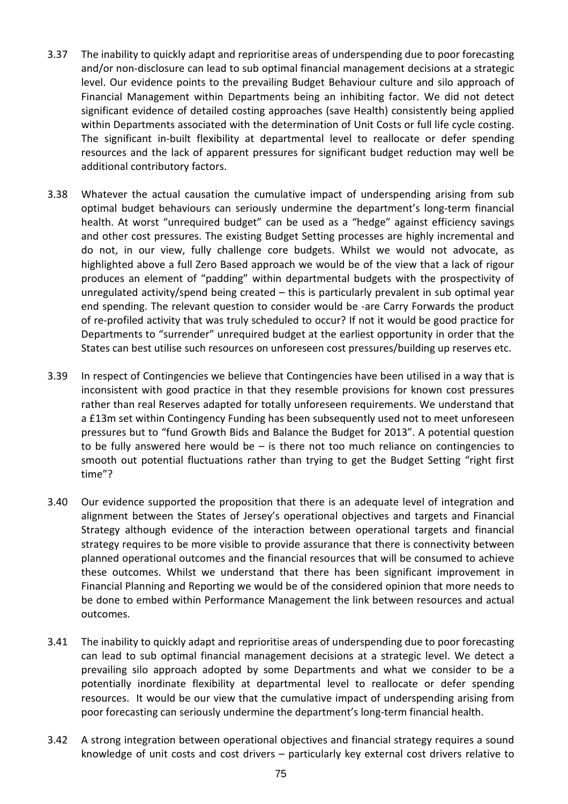- 3.37 The inability to quickly adapt and reprioritise areas of underspending due to poor forecasting and/or non-disclosure can lead to sub optimal financial management decisions at a strategic level. Our evidence points to the prevailing Budget Behaviour culture and silo approach of Financial Management within Departments being an inhibiting factor. We did not detect significant evidence of detailed costing approaches (save Health) consistently being applied within Departments associated with the determination of Unit Costs or full life cycle costing. The significant in-built flexibility at departmental level to reallocate or defer spending resources and the lack of apparent pressures for significant budget reduction may well be additional contributory factors.
- 3.38 Whatever the actual causation the cumulative impact of underspending arising from sub optimal budget behaviours can seriously undermine the department's long-term financial health. At worst "unrequired budget" can be used as a "hedge" against efficiency savings and other cost pressures. The existing Budget Setting processes are highly incremental and do not, in our view, fully challenge core budgets. Whilst we would not advocate, as highlighted above a full Zero Based approach we would be of the view that a lack of rigour produces an element of "padding" within departmental budgets with the prospectivity of unregulated activity/spend being created – this is particularly prevalent in sub optimal year end spending. The relevant question to consider would be -are Carry Forwards the product of re-profiled activity that was truly scheduled to occur? If not it would be good practice for Departments to "surrender" unrequired budget at the earliest opportunity in order that the States can best utilise such resources on unforeseen cost pressures/building up reserves etc.
- 3.39 In respect of Contingencies we believe that Contingencies have been utilised in a way that is inconsistent with good practice in that they resemble provisions for known cost pressures rather than real Reserves adapted for totally unforeseen requirements. We understand that a £13m set within Contingency Funding has been subsequently used not to meet unforeseen pressures but to "fund Growth Bids and Balance the Budget for 2013". A potential question to be fully answered here would be  $-$  is there not too much reliance on contingencies to smooth out potential fluctuations rather than trying to get the Budget Setting "right first time"?
- 3.40 Our evidence supported the proposition that there is an adequate level of integration and alignment between the States of Jersey's operational objectives and targets and Financial Strategy although evidence of the interaction between operational targets and financial strategy requires to be more visible to provide assurance that there is connectivity between planned operational outcomes and the financial resources that will be consumed to achieve these outcomes. Whilst we understand that there has been significant improvement in Financial Planning and Reporting we would be of the considered opinion that more needs to be done to embed within Performance Management the link between resources and actual outcomes.
- 3.41 The inability to quickly adapt and reprioritise areas of underspending due to poor forecasting can lead to sub optimal financial management decisions at a strategic level. We detect a prevailing silo approach adopted by some Departments and what we consider to be a potentially inordinate flexibility at departmental level to reallocate or defer spending resources. It would be our view that the cumulative impact of underspending arising from poor forecasting can seriously undermine the department's long-term financial health.
- 3.42 A strong integration between operational objectives and financial strategy requires a sound knowledge of unit costs and cost drivers – particularly key external cost drivers relative to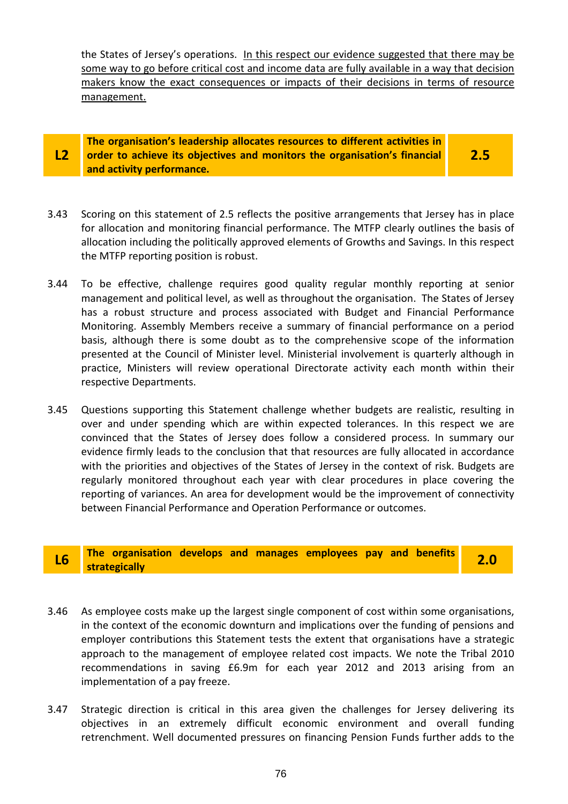the States of Jersey's operations. In this respect our evidence suggested that there may be some way to go before critical cost and income data are fully available in a way that decision makers know the exact consequences or impacts of their decisions in terms of resource management.

#### **L2 The organisation's leadership allocates resources to different activities in order to achieve its objectives and monitors the organisation's financial and activity performance.**

**2.5** 

- 3.43 Scoring on this statement of 2.5 reflects the positive arrangements that Jersey has in place for allocation and monitoring financial performance. The MTFP clearly outlines the basis of allocation including the politically approved elements of Growths and Savings. In this respect the MTFP reporting position is robust.
- 3.44 To be effective, challenge requires good quality regular monthly reporting at senior management and political level, as well as throughout the organisation. The States of Jersey has a robust structure and process associated with Budget and Financial Performance Monitoring. Assembly Members receive a summary of financial performance on a period basis, although there is some doubt as to the comprehensive scope of the information presented at the Council of Minister level. Ministerial involvement is quarterly although in practice, Ministers will review operational Directorate activity each month within their respective Departments.
- 3.45 Questions supporting this Statement challenge whether budgets are realistic, resulting in over and under spending which are within expected tolerances. In this respect we are convinced that the States of Jersey does follow a considered process. In summary our evidence firmly leads to the conclusion that that resources are fully allocated in accordance with the priorities and objectives of the States of Jersey in the context of risk. Budgets are regularly monitored throughout each year with clear procedures in place covering the reporting of variances. An area for development would be the improvement of connectivity between Financial Performance and Operation Performance or outcomes.

# **L6 The organisation develops and manages employees pay and benefits strategically 2.0**

- 3.46 As employee costs make up the largest single component of cost within some organisations, in the context of the economic downturn and implications over the funding of pensions and employer contributions this Statement tests the extent that organisations have a strategic approach to the management of employee related cost impacts. We note the Tribal 2010 recommendations in saving £6.9m for each year 2012 and 2013 arising from an implementation of a pay freeze.
- 3.47 Strategic direction is critical in this area given the challenges for Jersey delivering its objectives in an extremely difficult economic environment and overall funding retrenchment. Well documented pressures on financing Pension Funds further adds to the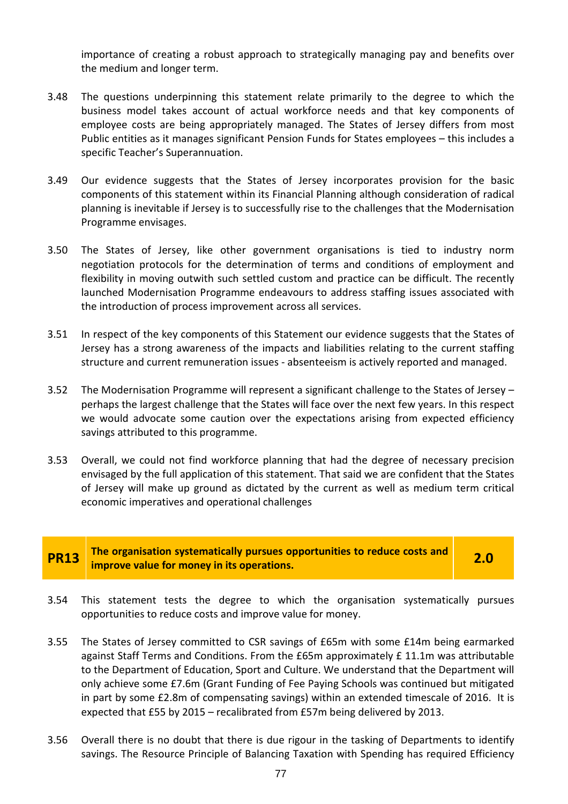importance of creating a robust approach to strategically managing pay and benefits over the medium and longer term.

- 3.48 The questions underpinning this statement relate primarily to the degree to which the business model takes account of actual workforce needs and that key components of employee costs are being appropriately managed. The States of Jersey differs from most Public entities as it manages significant Pension Funds for States employees – this includes a specific Teacher's Superannuation.
- 3.49 Our evidence suggests that the States of Jersey incorporates provision for the basic components of this statement within its Financial Planning although consideration of radical planning is inevitable if Jersey is to successfully rise to the challenges that the Modernisation Programme envisages.
- 3.50 The States of Jersey, like other government organisations is tied to industry norm negotiation protocols for the determination of terms and conditions of employment and flexibility in moving outwith such settled custom and practice can be difficult. The recently launched Modernisation Programme endeavours to address staffing issues associated with the introduction of process improvement across all services.
- 3.51 In respect of the key components of this Statement our evidence suggests that the States of Jersey has a strong awareness of the impacts and liabilities relating to the current staffing structure and current remuneration issues - absenteeism is actively reported and managed.
- 3.52 The Modernisation Programme will represent a significant challenge to the States of Jersey perhaps the largest challenge that the States will face over the next few years. In this respect we would advocate some caution over the expectations arising from expected efficiency savings attributed to this programme.
- 3.53 Overall, we could not find workforce planning that had the degree of necessary precision envisaged by the full application of this statement. That said we are confident that the States of Jersey will make up ground as dictated by the current as well as medium term critical economic imperatives and operational challenges

**PR13 The organisation systematically pursues opportunities to reduce costs and improve value for money in its operations. 2.0** 

- 3.54 This statement tests the degree to which the organisation systematically pursues opportunities to reduce costs and improve value for money.
- 3.55 The States of Jersey committed to CSR savings of £65m with some £14m being earmarked against Staff Terms and Conditions. From the £65m approximately £ 11.1m was attributable to the Department of Education, Sport and Culture. We understand that the Department will only achieve some £7.6m (Grant Funding of Fee Paying Schools was continued but mitigated in part by some £2.8m of compensating savings) within an extended timescale of 2016. It is expected that £55 by 2015 – recalibrated from £57m being delivered by 2013.
- 3.56 Overall there is no doubt that there is due rigour in the tasking of Departments to identify savings. The Resource Principle of Balancing Taxation with Spending has required Efficiency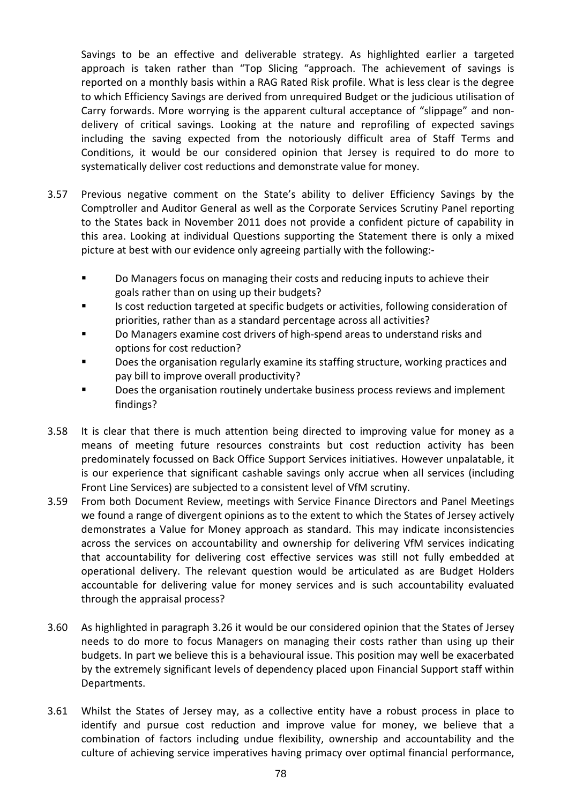Savings to be an effective and deliverable strategy. As highlighted earlier a targeted approach is taken rather than "Top Slicing "approach. The achievement of savings is reported on a monthly basis within a RAG Rated Risk profile. What is less clear is the degree to which Efficiency Savings are derived from unrequired Budget or the judicious utilisation of Carry forwards. More worrying is the apparent cultural acceptance of "slippage" and nondelivery of critical savings. Looking at the nature and reprofiling of expected savings including the saving expected from the notoriously difficult area of Staff Terms and Conditions, it would be our considered opinion that Jersey is required to do more to systematically deliver cost reductions and demonstrate value for money.

- 3.57 Previous negative comment on the State's ability to deliver Efficiency Savings by the Comptroller and Auditor General as well as the Corporate Services Scrutiny Panel reporting to the States back in November 2011 does not provide a confident picture of capability in this area. Looking at individual Questions supporting the Statement there is only a mixed picture at best with our evidence only agreeing partially with the following:-
	- **Do Managers focus on managing their costs and reducing inputs to achieve their** goals rather than on using up their budgets?
	- Is cost reduction targeted at specific budgets or activities, following consideration of priorities, rather than as a standard percentage across all activities?
	- **D** Do Managers examine cost drivers of high-spend areas to understand risks and options for cost reduction?
	- Does the organisation regularly examine its staffing structure, working practices and pay bill to improve overall productivity?
	- Does the organisation routinely undertake business process reviews and implement findings?
- 3.58 It is clear that there is much attention being directed to improving value for money as a means of meeting future resources constraints but cost reduction activity has been predominately focussed on Back Office Support Services initiatives. However unpalatable, it is our experience that significant cashable savings only accrue when all services (including Front Line Services) are subjected to a consistent level of VfM scrutiny.
- 3.59 From both Document Review, meetings with Service Finance Directors and Panel Meetings we found a range of divergent opinions as to the extent to which the States of Jersey actively demonstrates a Value for Money approach as standard. This may indicate inconsistencies across the services on accountability and ownership for delivering VfM services indicating that accountability for delivering cost effective services was still not fully embedded at operational delivery. The relevant question would be articulated as are Budget Holders accountable for delivering value for money services and is such accountability evaluated through the appraisal process?
- 3.60 As highlighted in paragraph 3.26 it would be our considered opinion that the States of Jersey needs to do more to focus Managers on managing their costs rather than using up their budgets. In part we believe this is a behavioural issue. This position may well be exacerbated by the extremely significant levels of dependency placed upon Financial Support staff within Departments.
- 3.61 Whilst the States of Jersey may, as a collective entity have a robust process in place to identify and pursue cost reduction and improve value for money, we believe that a combination of factors including undue flexibility, ownership and accountability and the culture of achieving service imperatives having primacy over optimal financial performance,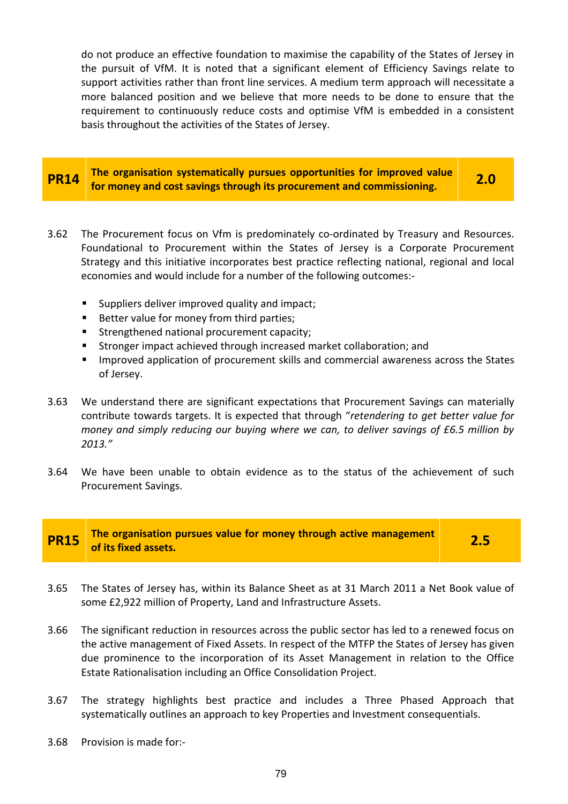do not produce an effective foundation to maximise the capability of the States of Jersey in the pursuit of VfM. It is noted that a significant element of Efficiency Savings relate to support activities rather than front line services. A medium term approach will necessitate a more balanced position and we believe that more needs to be done to ensure that the requirement to continuously reduce costs and optimise VfM is embedded in a consistent basis throughout the activities of the States of Jersey.

#### **PR14 The organisation systematically pursues opportunities for improved value for money and cost savings through its procurement and commissioning. 2.0**

- 3.62 The Procurement focus on Vfm is predominately co-ordinated by Treasury and Resources. Foundational to Procurement within the States of Jersey is a Corporate Procurement Strategy and this initiative incorporates best practice reflecting national, regional and local economies and would include for a number of the following outcomes:-
	- Suppliers deliver improved quality and impact;
	- Better value for money from third parties;
	- **Strengthened national procurement capacity;**
	- **Stronger impact achieved through increased market collaboration; and**
	- **IMPROVED Application of procurement skills and commercial awareness across the States** of Jersey.
- 3.63 We understand there are significant expectations that Procurement Savings can materially contribute towards targets. It is expected that through "*retendering to get better value for money and simply reducing our buying where we can, to deliver savings of £6.5 million by 2013."*
- 3.64 We have been unable to obtain evidence as to the status of the achievement of such Procurement Savings.

# **PR15** The organisation pursues value for money through active management of its fixed assets.

- 3.65 The States of Jersey has, within its Balance Sheet as at 31 March 2011 a Net Book value of some £2,922 million of Property, Land and Infrastructure Assets.
- 3.66 The significant reduction in resources across the public sector has led to a renewed focus on the active management of Fixed Assets. In respect of the MTFP the States of Jersey has given due prominence to the incorporation of its Asset Management in relation to the Office Estate Rationalisation including an Office Consolidation Project.
- 3.67 The strategy highlights best practice and includes a Three Phased Approach that systematically outlines an approach to key Properties and Investment consequentials.
- 3.68 Provision is made for:-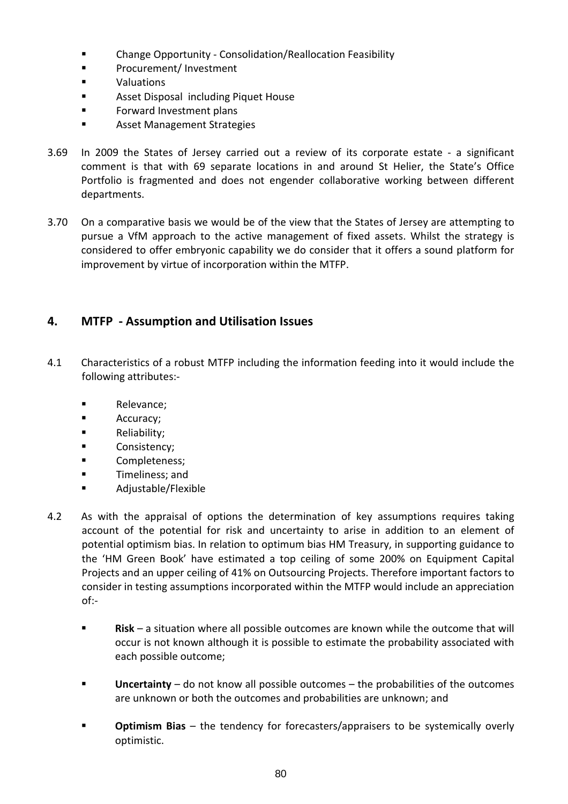- Change Opportunity Consolidation/Reallocation Feasibility
- **Procurement/Investment**
- **valuations**
- **Asset Disposal including Piquet House**
- **Forward Investment plans**
- **EXECUTE:** Asset Management Strategies
- 3.69 In 2009 the States of Jersey carried out a review of its corporate estate a significant comment is that with 69 separate locations in and around St Helier, the State's Office Portfolio is fragmented and does not engender collaborative working between different departments.
- 3.70 On a comparative basis we would be of the view that the States of Jersey are attempting to pursue a VfM approach to the active management of fixed assets. Whilst the strategy is considered to offer embryonic capability we do consider that it offers a sound platform for improvement by virtue of incorporation within the MTFP.

## **4. MTFP - Assumption and Utilisation Issues**

- 4.1 Characteristics of a robust MTFP including the information feeding into it would include the following attributes:-
	- **Relevance:**
	- **Accuracy**;
	- **Reliability;**
	- **Consistency;**
	- **Completeness;**
	- **Timeliness**; and
	- **Adjustable/Flexible**
- 4.2 As with the appraisal of options the determination of key assumptions requires taking account of the potential for risk and uncertainty to arise in addition to an element of potential optimism bias. In relation to optimum bias HM Treasury, in supporting guidance to the 'HM Green Book' have estimated a top ceiling of some 200% on Equipment Capital Projects and an upper ceiling of 41% on Outsourcing Projects. Therefore important factors to consider in testing assumptions incorporated within the MTFP would include an appreciation of:-
	- **Risk** a situation where all possible outcomes are known while the outcome that will occur is not known although it is possible to estimate the probability associated with each possible outcome;
	- **Uncertainty** do not know all possible outcomes the probabilities of the outcomes are unknown or both the outcomes and probabilities are unknown; and
	- **Dptimism Bias** the tendency for forecasters/appraisers to be systemically overly optimistic.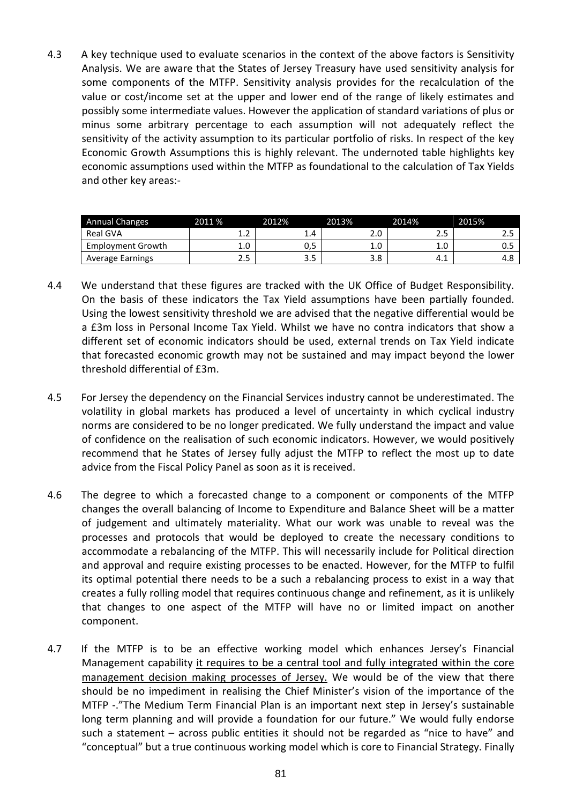4.3 A key technique used to evaluate scenarios in the context of the above factors is Sensitivity Analysis. We are aware that the States of Jersey Treasury have used sensitivity analysis for some components of the MTFP. Sensitivity analysis provides for the recalculation of the value or cost/income set at the upper and lower end of the range of likely estimates and possibly some intermediate values. However the application of standard variations of plus or minus some arbitrary percentage to each assumption will not adequately reflect the sensitivity of the activity assumption to its particular portfolio of risks. In respect of the key Economic Growth Assumptions this is highly relevant. The undernoted table highlights key economic assumptions used within the MTFP as foundational to the calculation of Tax Yields and other key areas:-

| Annual Changes          | 2011 % | 2012%          | 2013% | 2014%     | 2015% |
|-------------------------|--------|----------------|-------|-----------|-------|
| Real GVA                | ⊥.∠    | $\mathbf{1.4}$ | z.u   | ر .       | ر .   |
| Employment Growth       | 1.0    | U,J            | T.N   | 1.0       | ບ.ບ   |
| <b>Average Earnings</b> | د.ء    | ر.ر            | 3.8   | -1<br>4.1 | 4.8   |

- 4.4 We understand that these figures are tracked with the UK Office of Budget Responsibility. On the basis of these indicators the Tax Yield assumptions have been partially founded. Using the lowest sensitivity threshold we are advised that the negative differential would be a £3m loss in Personal Income Tax Yield. Whilst we have no contra indicators that show a different set of economic indicators should be used, external trends on Tax Yield indicate that forecasted economic growth may not be sustained and may impact beyond the lower threshold differential of £3m.
- 4.5 For Jersey the dependency on the Financial Services industry cannot be underestimated. The volatility in global markets has produced a level of uncertainty in which cyclical industry norms are considered to be no longer predicated. We fully understand the impact and value of confidence on the realisation of such economic indicators. However, we would positively recommend that he States of Jersey fully adjust the MTFP to reflect the most up to date advice from the Fiscal Policy Panel as soon as it is received.
- 4.6 The degree to which a forecasted change to a component or components of the MTFP changes the overall balancing of Income to Expenditure and Balance Sheet will be a matter of judgement and ultimately materiality. What our work was unable to reveal was the processes and protocols that would be deployed to create the necessary conditions to accommodate a rebalancing of the MTFP. This will necessarily include for Political direction and approval and require existing processes to be enacted. However, for the MTFP to fulfil its optimal potential there needs to be a such a rebalancing process to exist in a way that creates a fully rolling model that requires continuous change and refinement, as it is unlikely that changes to one aspect of the MTFP will have no or limited impact on another component.
- 4.7 If the MTFP is to be an effective working model which enhances Jersey's Financial Management capability it requires to be a central tool and fully integrated within the core management decision making processes of Jersey. We would be of the view that there should be no impediment in realising the Chief Minister's vision of the importance of the MTFP -."The Medium Term Financial Plan is an important next step in Jersey's sustainable long term planning and will provide a foundation for our future." We would fully endorse such a statement – across public entities it should not be regarded as "nice to have" and "conceptual" but a true continuous working model which is core to Financial Strategy. Finally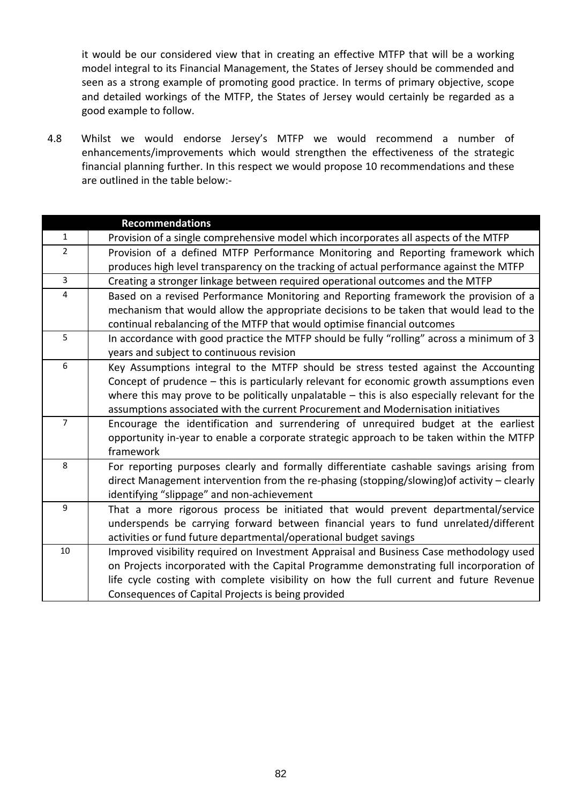it would be our considered view that in creating an effective MTFP that will be a working model integral to its Financial Management, the States of Jersey should be commended and seen as a strong example of promoting good practice. In terms of primary objective, scope and detailed workings of the MTFP, the States of Jersey would certainly be regarded as a good example to follow.

4.8 Whilst we would endorse Jersey's MTFP we would recommend a number of enhancements/improvements which would strengthen the effectiveness of the strategic financial planning further. In this respect we would propose 10 recommendations and these are outlined in the table below:-

|                | <b>Recommendations</b>                                                                          |
|----------------|-------------------------------------------------------------------------------------------------|
| $\mathbf{1}$   | Provision of a single comprehensive model which incorporates all aspects of the MTFP            |
| $\overline{2}$ | Provision of a defined MTFP Performance Monitoring and Reporting framework which                |
|                | produces high level transparency on the tracking of actual performance against the MTFP         |
| $\overline{3}$ | Creating a stronger linkage between required operational outcomes and the MTFP                  |
| $\overline{4}$ | Based on a revised Performance Monitoring and Reporting framework the provision of a            |
|                | mechanism that would allow the appropriate decisions to be taken that would lead to the         |
|                | continual rebalancing of the MTFP that would optimise financial outcomes                        |
| 5              | In accordance with good practice the MTFP should be fully "rolling" across a minimum of 3       |
|                | years and subject to continuous revision                                                        |
| 6              | Key Assumptions integral to the MTFP should be stress tested against the Accounting             |
|                | Concept of prudence - this is particularly relevant for economic growth assumptions even        |
|                | where this may prove to be politically unpalatable $-$ this is also especially relevant for the |
|                | assumptions associated with the current Procurement and Modernisation initiatives               |
| $\overline{7}$ | Encourage the identification and surrendering of unrequired budget at the earliest              |
|                | opportunity in-year to enable a corporate strategic approach to be taken within the MTFP        |
|                | framework                                                                                       |
| 8              | For reporting purposes clearly and formally differentiate cashable savings arising from         |
|                | direct Management intervention from the re-phasing (stopping/slowing) of activity - clearly     |
|                | identifying "slippage" and non-achievement                                                      |
| 9              | That a more rigorous process be initiated that would prevent departmental/service               |
|                | underspends be carrying forward between financial years to fund unrelated/different             |
|                | activities or fund future departmental/operational budget savings                               |
| 10             | Improved visibility required on Investment Appraisal and Business Case methodology used         |
|                | on Projects incorporated with the Capital Programme demonstrating full incorporation of         |
|                | life cycle costing with complete visibility on how the full current and future Revenue          |
|                | Consequences of Capital Projects is being provided                                              |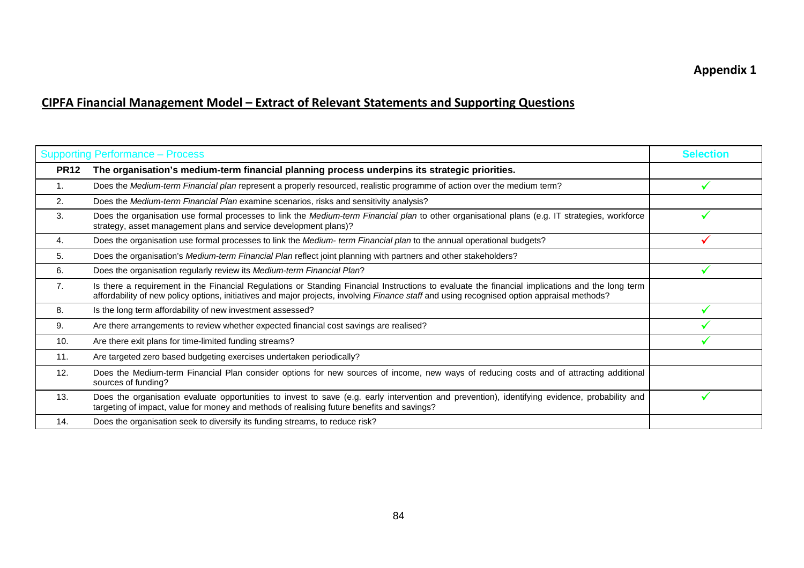# UC**CIPFA Financial Management Model – Extract of Relevant Statements and Supporting Questions**

| <b>Supporting Performance - Process</b> |                                                                                                                                                                                                                                                                                                | <b>Selection</b> |
|-----------------------------------------|------------------------------------------------------------------------------------------------------------------------------------------------------------------------------------------------------------------------------------------------------------------------------------------------|------------------|
| <b>PR12</b>                             | The organisation's medium-term financial planning process underpins its strategic priorities.                                                                                                                                                                                                  |                  |
| 1.                                      | Does the Medium-term Financial plan represent a properly resourced, realistic programme of action over the medium term?                                                                                                                                                                        |                  |
| 2.                                      | Does the Medium-term Financial Plan examine scenarios, risks and sensitivity analysis?                                                                                                                                                                                                         |                  |
| 3.                                      | Does the organisation use formal processes to link the Medium-term Financial plan to other organisational plans (e.g. IT strategies, workforce<br>strategy, asset management plans and service development plans)?                                                                             |                  |
| 4.                                      | Does the organisation use formal processes to link the Medium- term Financial plan to the annual operational budgets?                                                                                                                                                                          |                  |
| 5.                                      | Does the organisation's Medium-term Financial Plan reflect joint planning with partners and other stakeholders?                                                                                                                                                                                |                  |
| 6.                                      | Does the organisation regularly review its Medium-term Financial Plan?                                                                                                                                                                                                                         |                  |
| 7.                                      | Is there a requirement in the Financial Regulations or Standing Financial Instructions to evaluate the financial implications and the long term<br>affordability of new policy options, initiatives and major projects, involving Finance staff and using recognised option appraisal methods? |                  |
| 8.                                      | Is the long term affordability of new investment assessed?                                                                                                                                                                                                                                     |                  |
| 9.                                      | Are there arrangements to review whether expected financial cost savings are realised?                                                                                                                                                                                                         |                  |
| 10.                                     | Are there exit plans for time-limited funding streams?                                                                                                                                                                                                                                         |                  |
| 11.                                     | Are targeted zero based budgeting exercises undertaken periodically?                                                                                                                                                                                                                           |                  |
| 12.                                     | Does the Medium-term Financial Plan consider options for new sources of income, new ways of reducing costs and of attracting additional<br>sources of funding?                                                                                                                                 |                  |
| 13.                                     | Does the organisation evaluate opportunities to invest to save (e.g. early intervention and prevention), identifying evidence, probability and<br>targeting of impact, value for money and methods of realising future benefits and savings?                                                   |                  |
| 14.                                     | Does the organisation seek to diversify its funding streams, to reduce risk?                                                                                                                                                                                                                   |                  |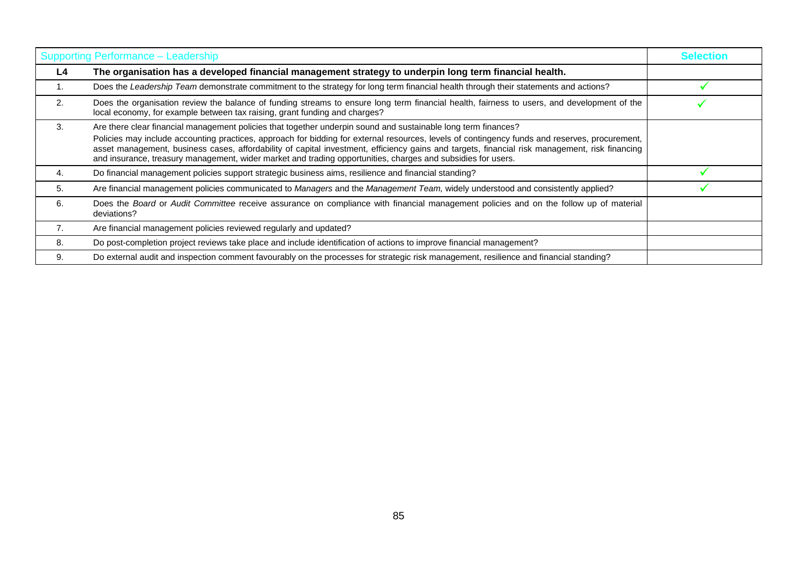| Supporting Performance - Leadership | <b>Selection</b>                                                                                                                                                                                                                                                                                                                                                                                                                                                                                                                   |  |
|-------------------------------------|------------------------------------------------------------------------------------------------------------------------------------------------------------------------------------------------------------------------------------------------------------------------------------------------------------------------------------------------------------------------------------------------------------------------------------------------------------------------------------------------------------------------------------|--|
| L4                                  | The organisation has a developed financial management strategy to underpin long term financial health.                                                                                                                                                                                                                                                                                                                                                                                                                             |  |
|                                     | Does the Leadership Team demonstrate commitment to the strategy for long term financial health through their statements and actions?                                                                                                                                                                                                                                                                                                                                                                                               |  |
| 2.                                  | Does the organisation review the balance of funding streams to ensure long term financial health, fairness to users, and development of the<br>local economy, for example between tax raising, grant funding and charges?                                                                                                                                                                                                                                                                                                          |  |
| 3.                                  | Are there clear financial management policies that together underpin sound and sustainable long term finances?<br>Policies may include accounting practices, approach for bidding for external resources, levels of contingency funds and reserves, procurement,<br>asset management, business cases, affordability of capital investment, efficiency gains and targets, financial risk management, risk financing<br>and insurance, treasury management, wider market and trading opportunities, charges and subsidies for users. |  |
| 4.                                  | Do financial management policies support strategic business aims, resilience and financial standing?                                                                                                                                                                                                                                                                                                                                                                                                                               |  |
| 5.                                  | Are financial management policies communicated to Managers and the Management Team, widely understood and consistently applied?                                                                                                                                                                                                                                                                                                                                                                                                    |  |
| 6.                                  | Does the Board or Audit Committee receive assurance on compliance with financial management policies and on the follow up of material<br>deviations?                                                                                                                                                                                                                                                                                                                                                                               |  |
| 7.                                  | Are financial management policies reviewed regularly and updated?                                                                                                                                                                                                                                                                                                                                                                                                                                                                  |  |
| 8.                                  | Do post-completion project reviews take place and include identification of actions to improve financial management?                                                                                                                                                                                                                                                                                                                                                                                                               |  |
| 9.                                  | Do external audit and inspection comment favourably on the processes for strategic risk management, resilience and financial standing?                                                                                                                                                                                                                                                                                                                                                                                             |  |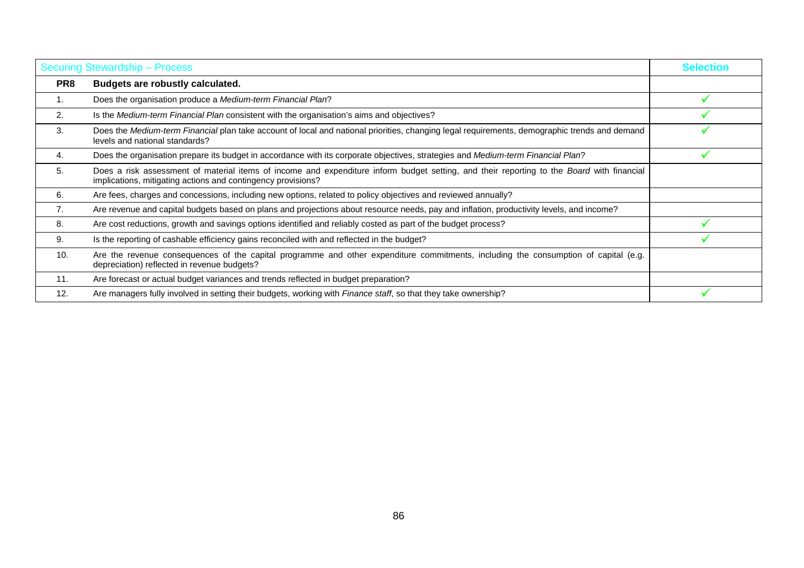| <b>Securing Stewardship - Process</b> |                                                                                                                                                                                                           | <b>Selection</b> |
|---------------------------------------|-----------------------------------------------------------------------------------------------------------------------------------------------------------------------------------------------------------|------------------|
| PR8                                   | Budgets are robustly calculated.                                                                                                                                                                          |                  |
| 1.                                    | Does the organisation produce a Medium-term Financial Plan?                                                                                                                                               |                  |
| 2.                                    | Is the Medium-term Financial Plan consistent with the organisation's aims and objectives?                                                                                                                 |                  |
| 3.                                    | Does the Medium-term Financial plan take account of local and national priorities, changing legal requirements, demographic trends and demand<br>levels and national standards?                           |                  |
| 4.                                    | Does the organisation prepare its budget in accordance with its corporate objectives, strategies and Medium-term Financial Plan?                                                                          |                  |
| 5.                                    | Does a risk assessment of material items of income and expenditure inform budget setting, and their reporting to the Board with financial<br>implications, mitigating actions and contingency provisions? |                  |
| 6.                                    | Are fees, charges and concessions, including new options, related to policy objectives and reviewed annually?                                                                                             |                  |
| 7.                                    | Are revenue and capital budgets based on plans and projections about resource needs, pay and inflation, productivity levels, and income?                                                                  |                  |
| 8.                                    | Are cost reductions, growth and savings options identified and reliably costed as part of the budget process?                                                                                             |                  |
| 9.                                    | Is the reporting of cashable efficiency gains reconciled with and reflected in the budget?                                                                                                                |                  |
| 10.                                   | Are the revenue consequences of the capital programme and other expenditure commitments, including the consumption of capital (e.g.<br>depreciation) reflected in revenue budgets?                        |                  |
| 11.                                   | Are forecast or actual budget variances and trends reflected in budget preparation?                                                                                                                       |                  |
| 12.                                   | Are managers fully involved in setting their budgets, working with Finance staff, so that they take ownership?                                                                                            |                  |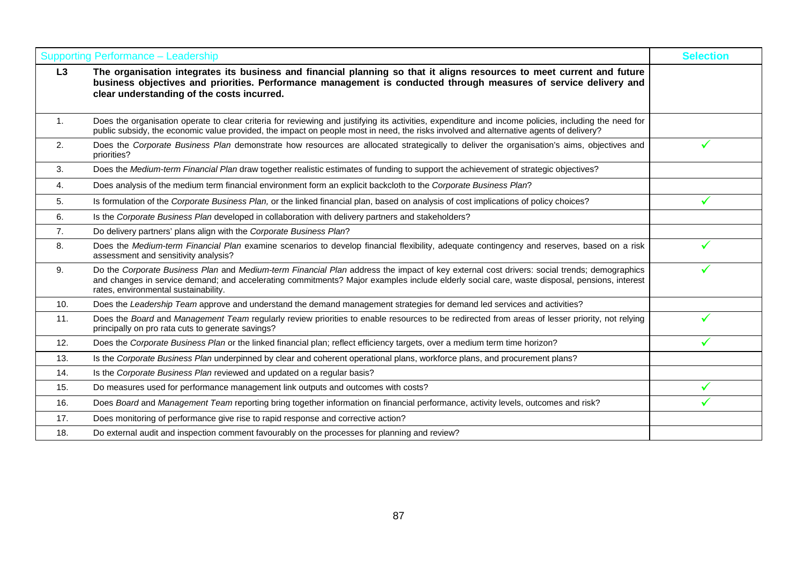|                  | <b>Supporting Performance - Leadership</b>                                                                                                                                                                                                                                                                                        | <b>Selection</b> |
|------------------|-----------------------------------------------------------------------------------------------------------------------------------------------------------------------------------------------------------------------------------------------------------------------------------------------------------------------------------|------------------|
| L3               | The organisation integrates its business and financial planning so that it aligns resources to meet current and future<br>business objectives and priorities. Performance management is conducted through measures of service delivery and<br>clear understanding of the costs incurred.                                          |                  |
| $\overline{1}$ . | Does the organisation operate to clear criteria for reviewing and justifying its activities, expenditure and income policies, including the need for<br>public subsidy, the economic value provided, the impact on people most in need, the risks involved and alternative agents of delivery?                                    |                  |
| 2.               | Does the Corporate Business Plan demonstrate how resources are allocated strategically to deliver the organisation's aims, objectives and<br>priorities?                                                                                                                                                                          |                  |
| 3.               | Does the Medium-term Financial Plan draw together realistic estimates of funding to support the achievement of strategic objectives?                                                                                                                                                                                              |                  |
| 4.               | Does analysis of the medium term financial environment form an explicit backcloth to the Corporate Business Plan?                                                                                                                                                                                                                 |                  |
| 5.               | Is formulation of the Corporate Business Plan, or the linked financial plan, based on analysis of cost implications of policy choices?                                                                                                                                                                                            |                  |
| 6.               | Is the Corporate Business Plan developed in collaboration with delivery partners and stakeholders?                                                                                                                                                                                                                                |                  |
| $\overline{7}$ . | Do delivery partners' plans align with the Corporate Business Plan?                                                                                                                                                                                                                                                               |                  |
| 8.               | Does the Medium-term Financial Plan examine scenarios to develop financial flexibility, adequate contingency and reserves, based on a risk<br>assessment and sensitivity analysis?                                                                                                                                                |                  |
| 9.               | Do the Corporate Business Plan and Medium-term Financial Plan address the impact of key external cost drivers: social trends; demographics<br>and changes in service demand; and accelerating commitments? Major examples include elderly social care, waste disposal, pensions, interest<br>rates, environmental sustainability. |                  |
| 10.              | Does the Leadership Team approve and understand the demand management strategies for demand led services and activities?                                                                                                                                                                                                          |                  |
| 11.              | Does the Board and Management Team regularly review priorities to enable resources to be redirected from areas of lesser priority, not relying<br>principally on pro rata cuts to generate savings?                                                                                                                               |                  |
| 12.              | Does the Corporate Business Plan or the linked financial plan; reflect efficiency targets, over a medium term time horizon?                                                                                                                                                                                                       |                  |
| 13.              | Is the Corporate Business Plan underpinned by clear and coherent operational plans, workforce plans, and procurement plans?                                                                                                                                                                                                       |                  |
| 14.              | Is the Corporate Business Plan reviewed and updated on a regular basis?                                                                                                                                                                                                                                                           |                  |
| 15.              | Do measures used for performance management link outputs and outcomes with costs?                                                                                                                                                                                                                                                 |                  |
| 16.              | Does Board and Management Team reporting bring together information on financial performance, activity levels, outcomes and risk?                                                                                                                                                                                                 |                  |
| 17.              | Does monitoring of performance give rise to rapid response and corrective action?                                                                                                                                                                                                                                                 |                  |
| 18.              | Do external audit and inspection comment favourably on the processes for planning and review?                                                                                                                                                                                                                                     |                  |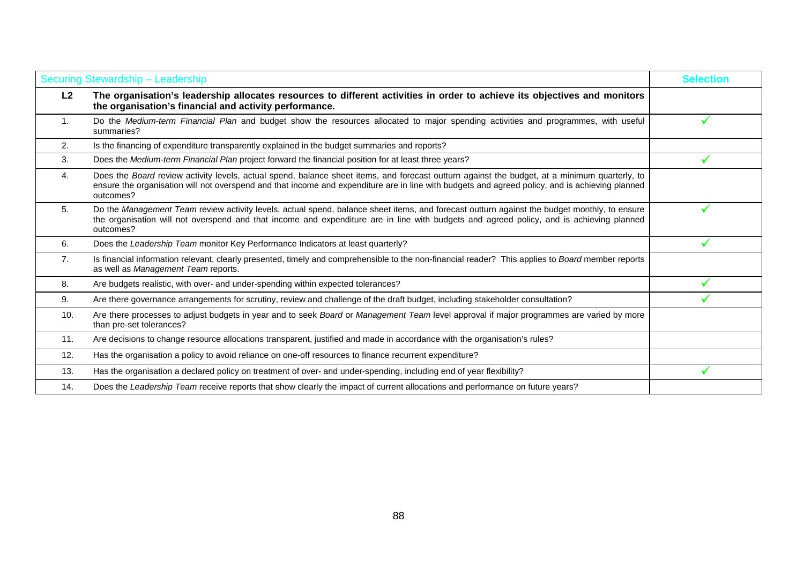| Securing Stewardship - Leadership |                                                                                                                                                                                                                                                                                                               | <b>Selection</b> |
|-----------------------------------|---------------------------------------------------------------------------------------------------------------------------------------------------------------------------------------------------------------------------------------------------------------------------------------------------------------|------------------|
| L2                                | The organisation's leadership allocates resources to different activities in order to achieve its objectives and monitors<br>the organisation's financial and activity performance.                                                                                                                           |                  |
| 1.                                | Do the Medium-term Financial Plan and budget show the resources allocated to major spending activities and programmes, with useful<br>summaries?                                                                                                                                                              |                  |
| 2.                                | Is the financing of expenditure transparently explained in the budget summaries and reports?                                                                                                                                                                                                                  |                  |
| 3.                                | Does the Medium-term Financial Plan project forward the financial position for at least three years?                                                                                                                                                                                                          |                  |
| 4.                                | Does the Board review activity levels, actual spend, balance sheet items, and forecast outturn against the budget, at a minimum quarterly, to<br>ensure the organisation will not overspend and that income and expenditure are in line with budgets and agreed policy, and is achieving planned<br>outcomes? |                  |
| 5.                                | Do the Management Team review activity levels, actual spend, balance sheet items, and forecast outturn against the budget monthly, to ensure<br>the organisation will not overspend and that income and expenditure are in line with budgets and agreed policy, and is achieving planned<br>outcomes?         |                  |
| 6.                                | Does the Leadership Team monitor Key Performance Indicators at least quarterly?                                                                                                                                                                                                                               | ✓                |
| 7.                                | Is financial information relevant, clearly presented, timely and comprehensible to the non-financial reader? This applies to Board member reports<br>as well as Management Team reports.                                                                                                                      |                  |
| 8.                                | Are budgets realistic, with over- and under-spending within expected tolerances?                                                                                                                                                                                                                              |                  |
| 9.                                | Are there governance arrangements for scrutiny, review and challenge of the draft budget, including stakeholder consultation?                                                                                                                                                                                 |                  |
| 10.                               | Are there processes to adjust budgets in year and to seek Board or Management Team level approval if major programmes are varied by more<br>than pre-set tolerances?                                                                                                                                          |                  |
| 11.                               | Are decisions to change resource allocations transparent, justified and made in accordance with the organisation's rules?                                                                                                                                                                                     |                  |
| 12.                               | Has the organisation a policy to avoid reliance on one-off resources to finance recurrent expenditure?                                                                                                                                                                                                        |                  |
| 13.                               | Has the organisation a declared policy on treatment of over- and under-spending, including end of year flexibility?                                                                                                                                                                                           |                  |
| 14.                               | Does the Leadership Team receive reports that show clearly the impact of current allocations and performance on future years?                                                                                                                                                                                 |                  |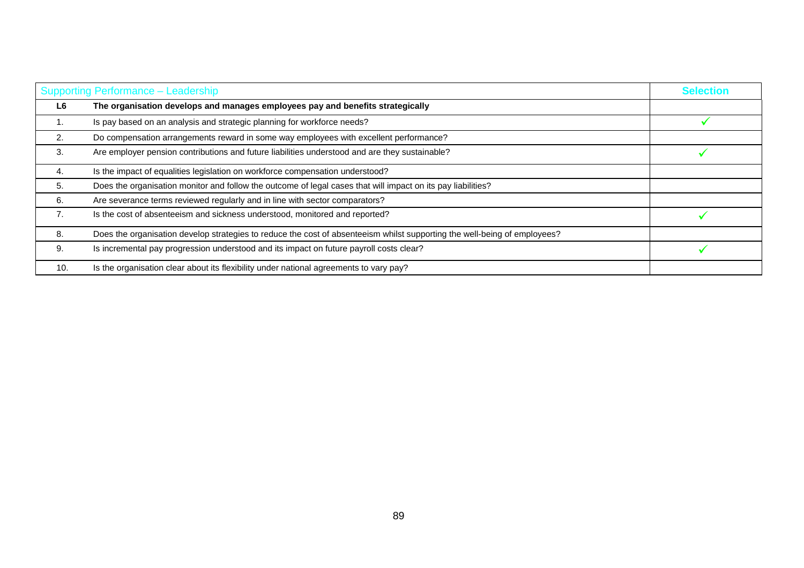|     | Supporting Performance - Leadership                                                                                       |  |
|-----|---------------------------------------------------------------------------------------------------------------------------|--|
| L6  | The organisation develops and manages employees pay and benefits strategically                                            |  |
| п.  | Is pay based on an analysis and strategic planning for workforce needs?                                                   |  |
| 2.  | Do compensation arrangements reward in some way employees with excellent performance?                                     |  |
| 3.  | Are employer pension contributions and future liabilities understood and are they sustainable?                            |  |
| 4.  | Is the impact of equalities legislation on workforce compensation understood?                                             |  |
| 5.  | Does the organisation monitor and follow the outcome of legal cases that will impact on its pay liabilities?              |  |
| 6.  | Are severance terms reviewed regularly and in line with sector comparators?                                               |  |
| 7.  | Is the cost of absenteeism and sickness understood, monitored and reported?                                               |  |
| 8.  | Does the organisation develop strategies to reduce the cost of absenteeism whilst supporting the well-being of employees? |  |
| 9.  | Is incremental pay progression understood and its impact on future payroll costs clear?                                   |  |
| 10. | Is the organisation clear about its flexibility under national agreements to vary pay?                                    |  |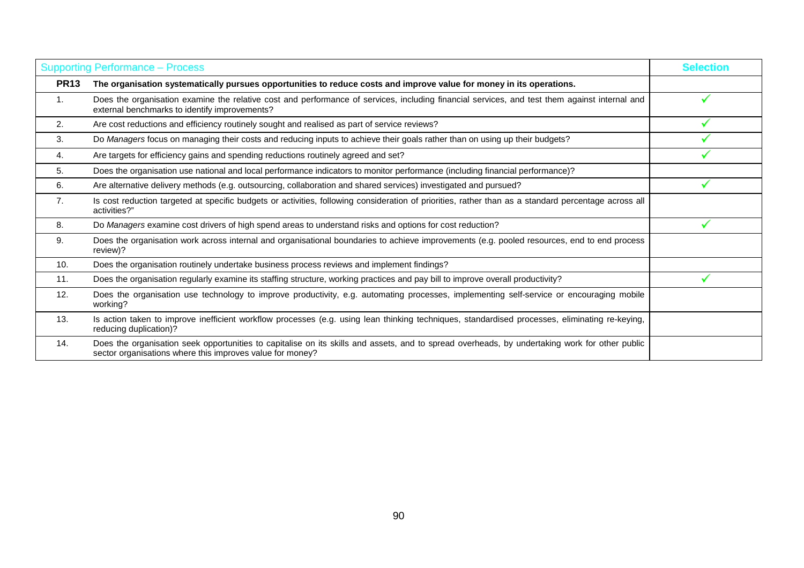| <b>Supporting Performance - Process</b> |                                                                                                                                                                                                             | <b>Selection</b> |
|-----------------------------------------|-------------------------------------------------------------------------------------------------------------------------------------------------------------------------------------------------------------|------------------|
| <b>PR13</b>                             | The organisation systematically pursues opportunities to reduce costs and improve value for money in its operations.                                                                                        |                  |
| 1.                                      | Does the organisation examine the relative cost and performance of services, including financial services, and test them against internal and<br>external benchmarks to identify improvements?              |                  |
| 2.                                      | Are cost reductions and efficiency routinely sought and realised as part of service reviews?                                                                                                                |                  |
| 3.                                      | Do Managers focus on managing their costs and reducing inputs to achieve their goals rather than on using up their budgets?                                                                                 |                  |
| 4.                                      | Are targets for efficiency gains and spending reductions routinely agreed and set?                                                                                                                          |                  |
| 5.                                      | Does the organisation use national and local performance indicators to monitor performance (including financial performance)?                                                                               |                  |
| 6.                                      | Are alternative delivery methods (e.g. outsourcing, collaboration and shared services) investigated and pursued?                                                                                            |                  |
| 7.                                      | Is cost reduction targeted at specific budgets or activities, following consideration of priorities, rather than as a standard percentage across all<br>activities?"                                        |                  |
| 8.                                      | Do Managers examine cost drivers of high spend areas to understand risks and options for cost reduction?                                                                                                    |                  |
| 9.                                      | Does the organisation work across internal and organisational boundaries to achieve improvements (e.g. pooled resources, end to end process<br>review)?                                                     |                  |
| 10.                                     | Does the organisation routinely undertake business process reviews and implement findings?                                                                                                                  |                  |
| 11.                                     | Does the organisation regularly examine its staffing structure, working practices and pay bill to improve overall productivity?                                                                             |                  |
| 12.                                     | Does the organisation use technology to improve productivity, e.g. automating processes, implementing self-service or encouraging mobile<br>working?                                                        |                  |
| 13.                                     | Is action taken to improve inefficient workflow processes (e.g. using lean thinking techniques, standardised processes, eliminating re-keying,<br>reducing duplication)?                                    |                  |
| 14.                                     | Does the organisation seek opportunities to capitalise on its skills and assets, and to spread overheads, by undertaking work for other public<br>sector organisations where this improves value for money? |                  |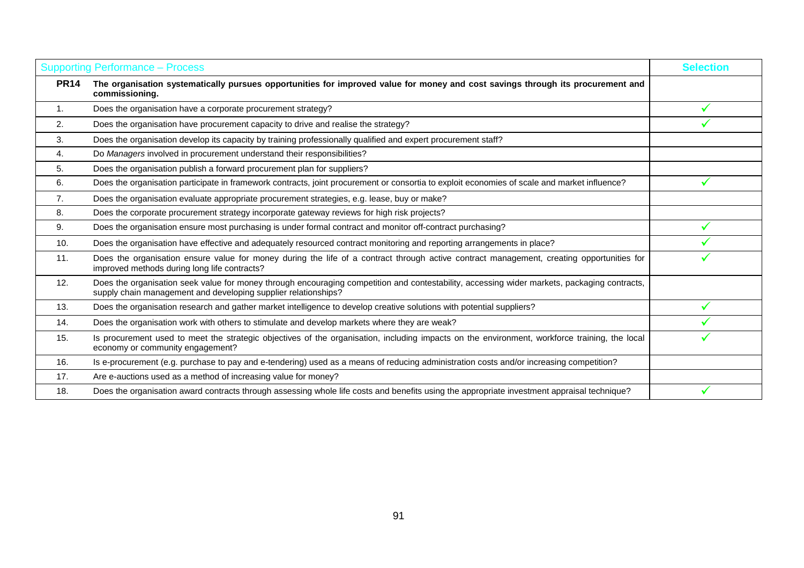|                | <b>Supporting Performance - Process</b>                                                                                                                                                                        | <b>Selection</b> |
|----------------|----------------------------------------------------------------------------------------------------------------------------------------------------------------------------------------------------------------|------------------|
| <b>PR14</b>    | The organisation systematically pursues opportunities for improved value for money and cost savings through its procurement and<br>commissioning.                                                              |                  |
| 1.             | Does the organisation have a corporate procurement strategy?                                                                                                                                                   |                  |
| 2.             | Does the organisation have procurement capacity to drive and realise the strategy?                                                                                                                             |                  |
| 3.             | Does the organisation develop its capacity by training professionally qualified and expert procurement staff?                                                                                                  |                  |
| 4.             | Do Managers involved in procurement understand their responsibilities?                                                                                                                                         |                  |
| 5.             | Does the organisation publish a forward procurement plan for suppliers?                                                                                                                                        |                  |
| 6.             | Does the organisation participate in framework contracts, joint procurement or consortia to exploit economies of scale and market influence?                                                                   |                  |
| 7 <sub>1</sub> | Does the organisation evaluate appropriate procurement strategies, e.g. lease, buy or make?                                                                                                                    |                  |
| 8.             | Does the corporate procurement strategy incorporate gateway reviews for high risk projects?                                                                                                                    |                  |
| 9.             | Does the organisation ensure most purchasing is under formal contract and monitor off-contract purchasing?                                                                                                     |                  |
| 10.            | Does the organisation have effective and adequately resourced contract monitoring and reporting arrangements in place?                                                                                         |                  |
| 11.            | Does the organisation ensure value for money during the life of a contract through active contract management, creating opportunities for<br>improved methods during long life contracts?                      |                  |
| 12.            | Does the organisation seek value for money through encouraging competition and contestability, accessing wider markets, packaging contracts,<br>supply chain management and developing supplier relationships? |                  |
| 13.            | Does the organisation research and gather market intelligence to develop creative solutions with potential suppliers?                                                                                          |                  |
| 14.            | Does the organisation work with others to stimulate and develop markets where they are weak?                                                                                                                   |                  |
| 15.            | Is procurement used to meet the strategic objectives of the organisation, including impacts on the environment, workforce training, the local<br>economy or community engagement?                              |                  |
| 16.            | Is e-procurement (e.g. purchase to pay and e-tendering) used as a means of reducing administration costs and/or increasing competition?                                                                        |                  |
| 17.            | Are e-auctions used as a method of increasing value for money?                                                                                                                                                 |                  |
| 18.            | Does the organisation award contracts through assessing whole life costs and benefits using the appropriate investment appraisal technique?                                                                    |                  |